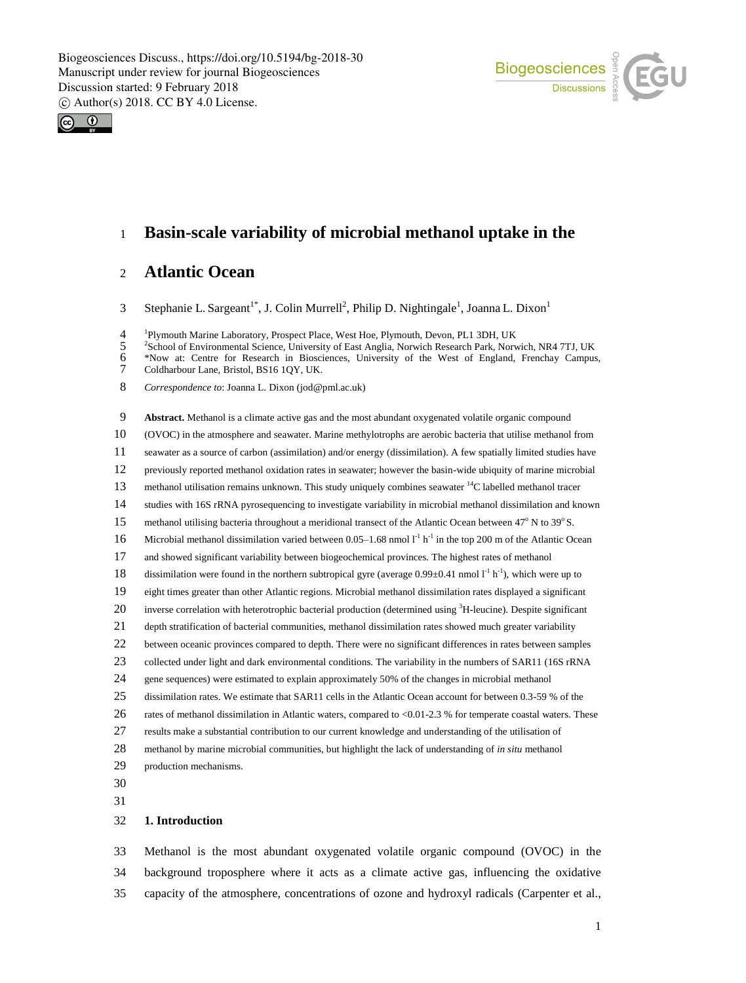



## **Basin-scale variability of microbial methanol uptake in the**

## **Atlantic Ocean**

3 Stephanie L. Sargeant<sup>1\*</sup>, J. Colin Murrell<sup>2</sup>, Philip D. Nightingale<sup>1</sup>, Joanna L. Dixon<sup>1</sup>

<sup>1</sup> Plymouth Marine Laboratory, Prospect Place, West Hoe, Plymouth, Devon, PL1 3DH, UK<br><sup>2</sup> School of Environmental Science, University of East Anglia, Norwich Research Park, Norv

<sup>2</sup> 5 <sup>2</sup> School of Environmental Science, University of East Anglia, Norwich Research Park, Norwich, NR4 7TJ, UK<br><sup>2</sup> Wow at: Centre for Research in Biosciences, University of the West of England, Frenchay Campus

\*Now at: Centre for Research in Biosciences, University of the West of England, Frenchay Campus,

*Correspondence to*: Joanna L. Dixon (jod@pml.ac.uk)

 **Abstract.** Methanol is a climate active gas and the most abundant oxygenated volatile organic compound (OVOC) in the atmosphere and seawater. Marine methylotrophs are aerobic bacteria that utilise methanol from seawater as a source of carbon (assimilation) and/or energy (dissimilation). A few spatially limited studies have previously reported methanol oxidation rates in seawater; however the basin-wide ubiquity of marine microbial 13 methanol utilisation remains unknown. This study uniquely combines seawater <sup>14</sup>C labelled methanol tracer studies with 16S rRNA pyrosequencing to investigate variability in microbial methanol dissimilation and known 15 methanol utilising bacteria throughout a meridional transect of the Atlantic Ocean between  $47^{\circ}$  N to  $39^{\circ}$  S. 16 Microbial methanol dissimilation varied between 0.05–1.68 nmol  $I<sup>-1</sup> h<sup>-1</sup>$  in the top 200 m of the Atlantic Ocean and showed significant variability between biogeochemical provinces. The highest rates of methanol 18 dissimilation were found in the northern subtropical gyre (average  $0.99 \pm 0.41$  nmol  $1^{\text{-}1}$  h<sup>-1</sup>), which were up to eight times greater than other Atlantic regions. Microbial methanol dissimilation rates displayed a significant 20 inverse correlation with heterotrophic bacterial production (determined using  ${}^{3}$ H-leucine). Despite significant depth stratification of bacterial communities, methanol dissimilation rates showed much greater variability between oceanic provinces compared to depth. There were no significant differences in rates between samples collected under light and dark environmental conditions. The variability in the numbers of SAR11 (16S rRNA gene sequences) were estimated to explain approximately 50% of the changes in microbial methanol dissimilation rates. We estimate that SAR11 cells in the Atlantic Ocean account for between 0.3-59 % of the rates of methanol dissimilation in Atlantic waters, compared to <0.01-2.3 % for temperate coastal waters. These results make a substantial contribution to our current knowledge and understanding of the utilisation of methanol by marine microbial communities, but highlight the lack of understanding of *in situ* methanol production mechanisms. 

#### **1. Introduction**

 Methanol is the most abundant oxygenated volatile organic compound (OVOC) in the background troposphere where it acts as a climate active gas, influencing the oxidative capacity of the atmosphere, concentrations of ozone and hydroxyl radicals (Carpenter et al.,

Coldharbour Lane, Bristol, BS16 1QY, UK.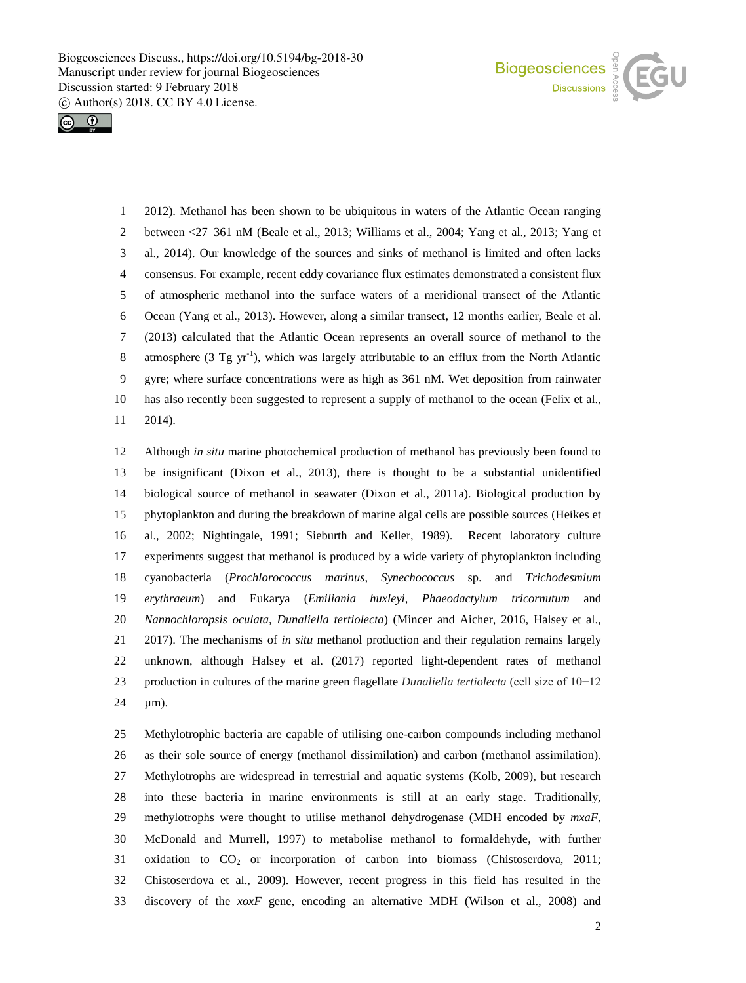



 2012). Methanol has been shown to be ubiquitous in waters of the Atlantic Ocean ranging between <27–361 nM (Beale et al., 2013; Williams et al., 2004; Yang et al., 2013; Yang et al., 2014). Our knowledge of the sources and sinks of methanol is limited and often lacks consensus. For example, recent eddy covariance flux estimates demonstrated a consistent flux of atmospheric methanol into the surface waters of a meridional transect of the Atlantic Ocean (Yang et al., 2013). However, along a similar transect, 12 months earlier, Beale et al. (2013) calculated that the Atlantic Ocean represents an overall source of methanol to the 8 atmosphere (3 Tg  $yr^{-1}$ ), which was largely attributable to an efflux from the North Atlantic gyre; where surface concentrations were as high as 361 nM. Wet deposition from rainwater has also recently been suggested to represent a supply of methanol to the ocean (Felix et al., 2014).

 Although *in situ* marine photochemical production of methanol has previously been found to be insignificant (Dixon et al., 2013), there is thought to be a substantial unidentified biological source of methanol in seawater (Dixon et al., 2011a). Biological production by phytoplankton and during the breakdown of marine algal cells are possible sources (Heikes et al., 2002; Nightingale, 1991; Sieburth and Keller, 1989). Recent laboratory culture experiments suggest that methanol is produced by a wide variety of phytoplankton including cyanobacteria (*Prochlorococcus marinus*, *Synechococcus* sp. and *Trichodesmium erythraeum*) and Eukarya (*Emiliania huxleyi*, *Phaeodactylum tricornutum* and *Nannochloropsis oculata, Dunaliella tertiolecta*) (Mincer and Aicher, 2016, Halsey et al., 2017). The mechanisms of *in situ* methanol production and their regulation remains largely unknown, although Halsey et al. (2017) reported light-dependent rates of methanol production in cultures of the marine green flagellate *Dunaliella tertiolecta* (cell size of 10−12 24 µm).

 Methylotrophic bacteria are capable of utilising one-carbon compounds including methanol as their sole source of energy (methanol dissimilation) and carbon (methanol assimilation). Methylotrophs are widespread in terrestrial and aquatic systems (Kolb, 2009), but research into these bacteria in marine environments is still at an early stage. Traditionally, methylotrophs were thought to utilise methanol dehydrogenase (MDH encoded by *mxaF*, McDonald and Murrell, 1997) to metabolise methanol to formaldehyde, with further 31 oxidation to  $CO<sub>2</sub>$  or incorporation of carbon into biomass (Chistoserdova, 2011; Chistoserdova et al., 2009). However, recent progress in this field has resulted in the discovery of the *xoxF* gene, encoding an alternative MDH (Wilson et al., 2008) and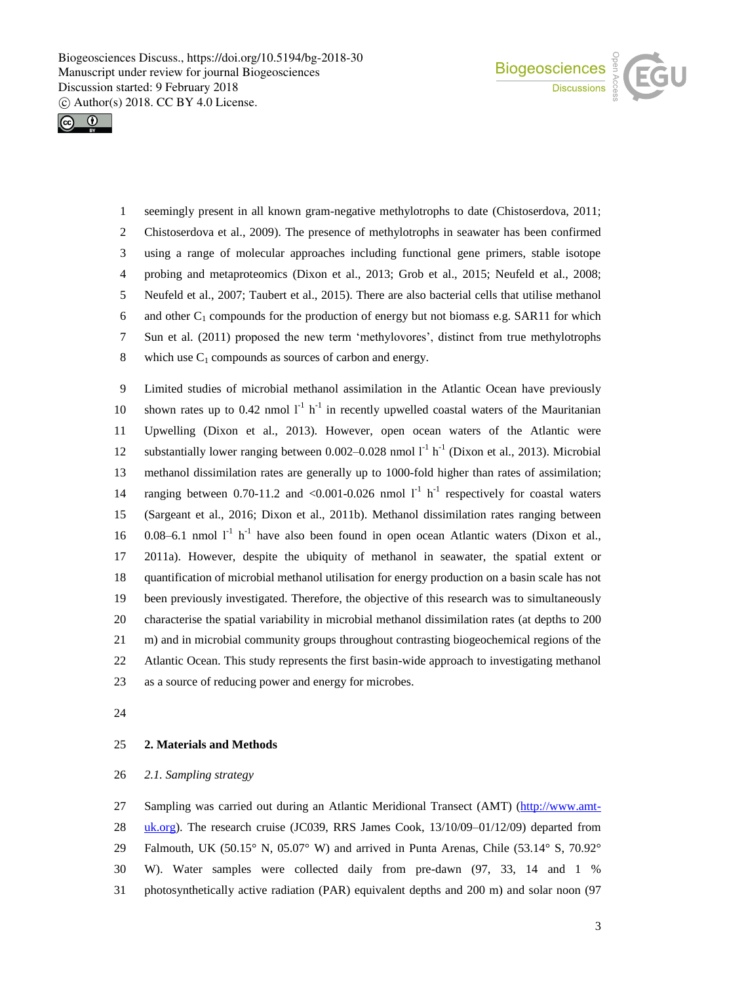



 seemingly present in all known gram-negative methylotrophs to date (Chistoserdova, 2011; Chistoserdova et al., 2009). The presence of methylotrophs in seawater has been confirmed using a range of molecular approaches including functional gene primers, stable isotope probing and metaproteomics (Dixon et al., 2013; Grob et al., 2015; Neufeld et al., 2008; Neufeld et al., 2007; Taubert et al., 2015). There are also bacterial cells that utilise methanol 6 and other  $C_1$  compounds for the production of energy but not biomass e.g. SAR11 for which Sun et al. (2011) proposed the new term 'methylovores', distinct from true methylotrophs 8 which use  $C_1$  compounds as sources of carbon and energy.

 Limited studies of microbial methanol assimilation in the Atlantic Ocean have previously 10 shown rates up to 0.42 nmol  $1<sup>-1</sup> h<sup>-1</sup>$  in recently upwelled coastal waters of the Mauritanian Upwelling (Dixon et al., 2013). However, open ocean waters of the Atlantic were 12 substantially lower ranging between  $0.002-0.028$  nmol  $l<sup>-1</sup> h<sup>-1</sup>$  (Dixon et al., 2013). Microbial methanol dissimilation rates are generally up to 1000-fold higher than rates of assimilation; 14 ranging between 0.70-11.2 and <0.001-0.026 nmol  $l^{-1}$  h<sup>-1</sup> respectively for coastal waters (Sargeant et al., 2016; Dixon et al., 2011b). Methanol dissimilation rates ranging between 16 0.08–6.1 nmol  $I<sup>-1</sup> h<sup>-1</sup>$  have also been found in open ocean Atlantic waters (Dixon et al., 2011a). However, despite the ubiquity of methanol in seawater, the spatial extent or quantification of microbial methanol utilisation for energy production on a basin scale has not been previously investigated. Therefore, the objective of this research was to simultaneously characterise the spatial variability in microbial methanol dissimilation rates (at depths to 200 m) and in microbial community groups throughout contrasting biogeochemical regions of the Atlantic Ocean. This study represents the first basin-wide approach to investigating methanol as a source of reducing power and energy for microbes.

## **2. Materials and Methods**

#### *2.1. Sampling strategy*

 Sampling was carried out during an Atlantic Meridional Transect (AMT) (http://www.amt-28 uk.org). The research cruise (JC039, RRS James Cook,  $13/10/09 - 01/12/09$ ) departed from Falmouth, UK (50.15° N, 05.07° W) and arrived in Punta Arenas, Chile (53.14° S, 70.92° W). Water samples were collected daily from pre-dawn (97, 33, 14 and 1 % photosynthetically active radiation (PAR) equivalent depths and 200 m) and solar noon (97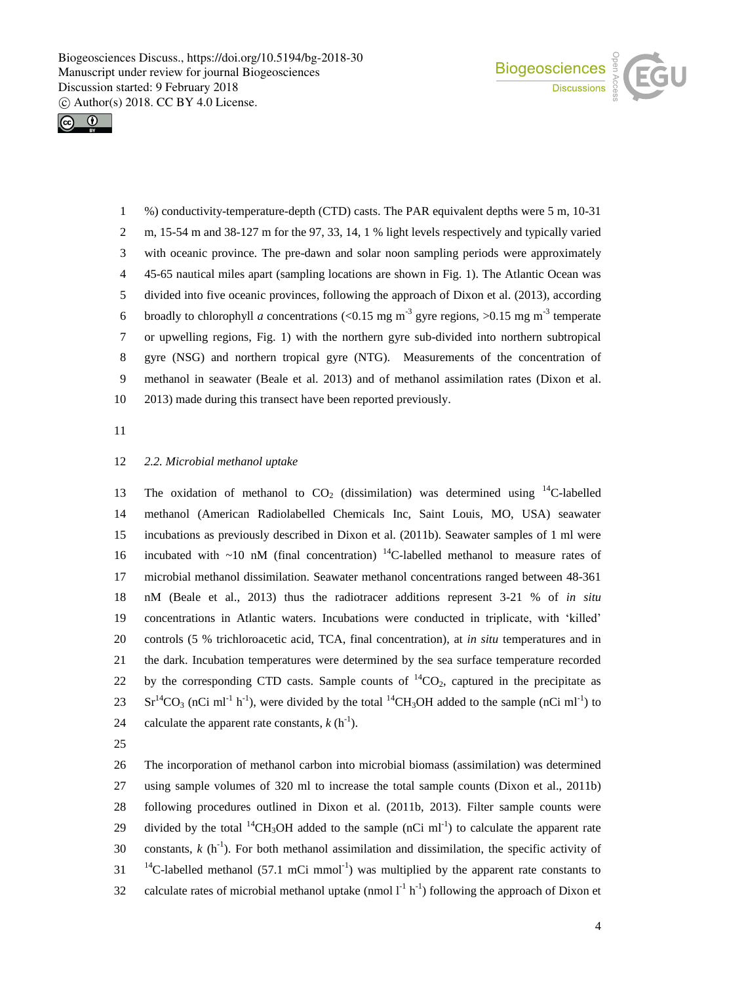



 %) conductivity-temperature-depth (CTD) casts. The PAR equivalent depths were 5 m, 10-31 m, 15-54 m and 38-127 m for the 97, 33, 14, 1 % light levels respectively and typically varied with oceanic province. The pre-dawn and solar noon sampling periods were approximately 45-65 nautical miles apart (sampling locations are shown in Fig. 1). The Atlantic Ocean was divided into five oceanic provinces, following the approach of Dixon et al. (2013), according 6 broadly to chlorophyll *a* concentrations (<0.15 mg m<sup>-3</sup> gyre regions, >0.15 mg m<sup>-3</sup> temperate or upwelling regions, Fig. 1) with the northern gyre sub-divided into northern subtropical gyre (NSG) and northern tropical gyre (NTG). Measurements of the concentration of methanol in seawater (Beale et al. 2013) and of methanol assimilation rates (Dixon et al. 2013) made during this transect have been reported previously.

#### *2.2. Microbial methanol uptake*

13 The oxidation of methanol to  $CO<sub>2</sub>$  (dissimilation) was determined using <sup>14</sup>C-labelled methanol (American Radiolabelled Chemicals Inc, Saint Louis, MO, USA) seawater incubations as previously described in Dixon et al. (2011b). Seawater samples of 1 ml were 16 incubated with  $\sim$ 10 nM (final concentration) <sup>14</sup>C-labelled methanol to measure rates of microbial methanol dissimilation. Seawater methanol concentrations ranged between 48-361 nM (Beale et al., 2013) thus the radiotracer additions represent 3-21 % of *in situ* concentrations in Atlantic waters. Incubations were conducted in triplicate, with 'killed' controls (5 % trichloroacetic acid, TCA, final concentration), at *in situ* temperatures and in the dark. Incubation temperatures were determined by the sea surface temperature recorded 22 by the corresponding CTD casts. Sample counts of  ${}^{14}CO_2$ , captured in the precipitate as 23 Sr<sup>14</sup>CO<sub>3</sub> (nCi ml<sup>-1</sup> h<sup>-1</sup>), were divided by the total <sup>14</sup>CH<sub>3</sub>OH added to the sample (nCi ml<sup>-1</sup>) to 24 calculate the apparent rate constants,  $k(h^{-1})$ .

 The incorporation of methanol carbon into microbial biomass (assimilation) was determined using sample volumes of 320 ml to increase the total sample counts (Dixon et al., 2011b) following procedures outlined in Dixon et al. (2011b, 2013). Filter sample counts were 29 divided by the total <sup>14</sup>CH<sub>3</sub>OH added to the sample  $(nCi \ ml^{-1})$  to calculate the apparent rate 30 constants,  $k \left( h^{-1} \right)$ . For both methanol assimilation and dissimilation, the specific activity of  $11^{14}$ C-labelled methanol (57.1 mCi mmol<sup>-1</sup>) was multiplied by the apparent rate constants to 32 calculate rates of microbial methanol uptake (nmol  $I<sup>-1</sup> h<sup>-1</sup>$ ) following the approach of Dixon et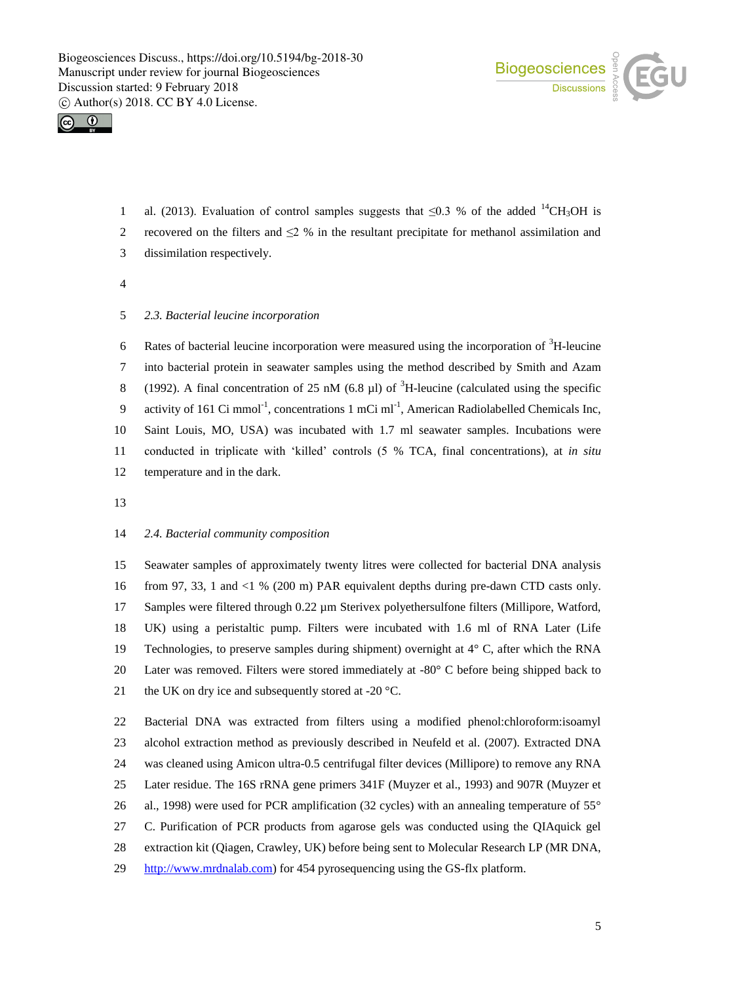



- al. (2013). Evaluation of control samples suggests that  $\leq 0.3$  % of the added <sup>14</sup>CH<sub>3</sub>OH is 2 recovered on the filters and  $\leq$  % in the resultant precipitate for methanol assimilation and dissimilation respectively.
- 

#### *2.3. Bacterial leucine incorporation*

6 Rates of bacterial leucine incorporation were measured using the incorporation of  ${}^{3}$ H-leucine into bacterial protein in seawater samples using the method described by Smith and Azam (1992). A final concentration of 25 nM (6.8  $\mu$ ) of <sup>3</sup>H-leucine (calculated using the specific 9 activity of 161 Ci mmol<sup>-1</sup>, concentrations 1 mCi ml<sup>-1</sup>, American Radiolabelled Chemicals Inc, Saint Louis, MO, USA) was incubated with 1.7 ml seawater samples. Incubations were conducted in triplicate with 'killed' controls (5 % TCA, final concentrations), at *in situ* temperature and in the dark.

#### *2.4. Bacterial community composition*

 Seawater samples of approximately twenty litres were collected for bacterial DNA analysis from 97, 33, 1 and <1 % (200 m) PAR equivalent depths during pre-dawn CTD casts only. 17 Samples were filtered through 0.22  $\mu$ m Sterivex polyethersulfone filters (Millipore, Watford, UK) using a peristaltic pump. Filters were incubated with 1.6 ml of RNA Later (Life 19 Technologies, to preserve samples during shipment) overnight at  $4^{\circ}$  C, after which the RNA Later was removed. Filters were stored immediately at -80° C before being shipped back to 21 the UK on dry ice and subsequently stored at -20  $^{\circ}$ C.

 Bacterial DNA was extracted from filters using a modified phenol:chloroform:isoamyl alcohol extraction method as previously described in Neufeld et al. (2007). Extracted DNA was cleaned using Amicon ultra-0.5 centrifugal filter devices (Millipore) to remove any RNA Later residue. The 16S rRNA gene primers 341F (Muyzer et al., 1993) and 907R (Muyzer et 26 al., 1998) were used for PCR amplification (32 cycles) with an annealing temperature of 55° C. Purification of PCR products from agarose gels was conducted using the QIAquick gel extraction kit (Qiagen, Crawley, UK) before being sent to Molecular Research LP (MR DNA, http://www.mrdnalab.com) for 454 pyrosequencing using the GS-flx platform.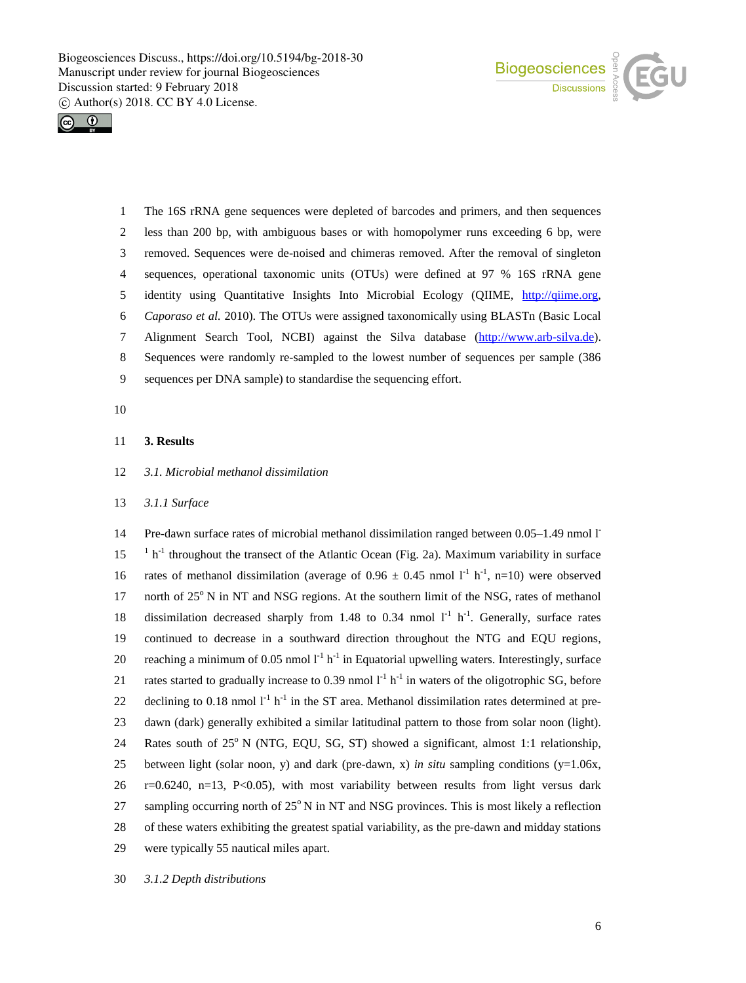



 The 16S rRNA gene sequences were depleted of barcodes and primers, and then sequences less than 200 bp, with ambiguous bases or with homopolymer runs exceeding 6 bp, were removed. Sequences were de-noised and chimeras removed. After the removal of singleton sequences, operational taxonomic units (OTUs) were defined at 97 % 16S rRNA gene identity using Quantitative Insights Into Microbial Ecology (QIIME, http://qiime.org, *Caporaso et al.* 2010). The OTUs were assigned taxonomically using BLASTn (Basic Local Alignment Search Tool, NCBI) against the Silva database (http://www.arb-silva.de). Sequences were randomly re-sampled to the lowest number of sequences per sample (386 sequences per DNA sample) to standardise the sequencing effort.

10

#### 11 **3. Results**

#### 12 *3.1. Microbial methanol dissimilation*

#### 13 *3.1.1 Surface*

14 Pre-dawn surface rates of microbial methanol dissimilation ranged between 0.05-1.49 nmol l  $15$ <sup>1</sup> h<sup>-1</sup> throughout the transect of the Atlantic Ocean (Fig. 2a). Maximum variability in surface 16 rates of methanol dissimilation (average of  $0.96 \pm 0.45$  nmol  $1^{-1}$  h<sup>-1</sup>, n=10) were observed 17 north of  $25^\circ$  N in NT and NSG regions. At the southern limit of the NSG, rates of methanol 18 dissimilation decreased sharply from 1.48 to 0.34 nmol  $I<sup>-1</sup>$  h<sup>-1</sup>. Generally, surface rates 19 continued to decrease in a southward direction throughout the NTG and EQU regions, 20 reaching a minimum of 0.05 nmol  $I^{-1}$  h<sup>-1</sup> in Equatorial upwelling waters. Interestingly, surface 21 rates started to gradually increase to 0.39 nmol  $1^{-1}$  h<sup>-1</sup> in waters of the oligotrophic SG, before 22 declining to 0.18 nmol  $I<sup>-1</sup> h<sup>-1</sup>$  in the ST area. Methanol dissimilation rates determined at pre-23 dawn (dark) generally exhibited a similar latitudinal pattern to those from solar noon (light). 24 Rates south of  $25^{\circ}$  N (NTG, EQU, SG, ST) showed a significant, almost 1:1 relationship, 25 between light (solar noon, y) and dark (pre-dawn, x) *in situ* sampling conditions ( $y=1.06x$ ,  $26$  r=0.6240, n=13, P<0.05), with most variability between results from light versus dark 27 sampling occurring north of  $25^{\circ}$  N in NT and NSG provinces. This is most likely a reflection 28 of these waters exhibiting the greatest spatial variability, as the pre-dawn and midday stations 29 were typically 55 nautical miles apart.

30 *3.1.2 Depth distributions*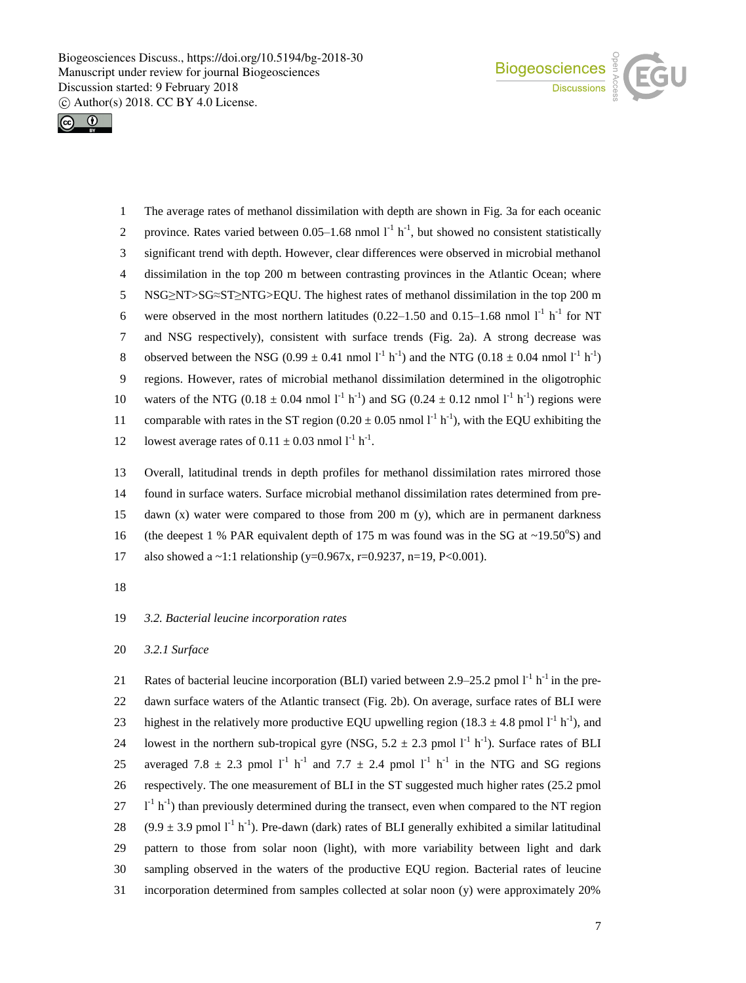



1 The average rates of methanol dissimilation with depth are shown in Fig. 3a for each oceanic 2 province. Rates varied between  $0.05-1.68$  nmol  $1^{-1}$  h<sup>-1</sup>, but showed no consistent statistically 3 significant trend with depth. However, clear differences were observed in microbial methanol 4 dissimilation in the top 200 m between contrasting provinces in the Atlantic Ocean; where 5 NSG≥NT>SG≈ST≥NTG>EQU. The highest rates of methanol dissimilation in the top 200 m 6 were observed in the most northern latitudes  $(0.22-1.50$  and  $0.15-1.68$  nmol  $1<sup>-1</sup>$  h<sup>-1</sup> for NT 7 and NSG respectively), consistent with surface trends (Fig. 2a). A strong decrease was 8 observed between the NSG (0.99  $\pm$  0.41 nmol  $1^{-1}$  h<sup>-1</sup>) and the NTG (0.18  $\pm$  0.04 nmol  $1^{-1}$  h<sup>-1</sup>) 9 regions. However, rates of microbial methanol dissimilation determined in the oligotrophic 10 waters of the NTG (0.18  $\pm$  0.04 nmol  $1^{-1}$  h<sup>-1</sup>) and SG (0.24  $\pm$  0.12 nmol  $1^{-1}$  h<sup>-1</sup>) regions were 11 comparable with rates in the ST region  $(0.20 \pm 0.05 \text{ nmol l}^{-1} \text{ h}^{-1})$ , with the EQU exhibiting the 12 lowest average rates of  $0.11 \pm 0.03$  nmol  $l^{-1}$  h<sup>-1</sup>.

13 Overall, latitudinal trends in depth profiles for methanol dissimilation rates mirrored those 14 found in surface waters. Surface microbial methanol dissimilation rates determined from pre-15 dawn (x) water were compared to those from 200 m (y), which are in permanent darkness 16 (the deepest 1 % PAR equivalent depth of 175 m was found was in the SG at  $\sim$ 19.50°S) and 17 also showed a  $\sim$ 1:1 relationship (y=0.967x, r=0.9237, n=19, P<0.001).

18

## 19 *3.2. Bacterial leucine incorporation rates*

#### 20 *3.2.1 Surface*

21 Rates of bacterial leucine incorporation (BLI) varied between 2.9–25.2 pmol  $I<sup>-1</sup> h<sup>-1</sup>$  in the pre-22 dawn surface waters of the Atlantic transect (Fig. 2b). On average, surface rates of BLI were 23 highest in the relatively more productive EQU upwelling region (18.3  $\pm$  4.8 pmol l<sup>-1</sup> h<sup>-1</sup>), and 24 lowest in the northern sub-tropical gyre (NSG,  $5.2 \pm 2.3$  pmol  $l^{-1}$  h<sup>-1</sup>). Surface rates of BLI 25 averaged 7.8  $\pm$  2.3 pmol 1<sup>-1</sup> h<sup>-1</sup> and 7.7  $\pm$  2.4 pmol 1<sup>-1</sup> h<sup>-1</sup> in the NTG and SG regions 26 respectively. The one measurement of BLI in the ST suggested much higher rates (25.2 pmol  $27$   $1^{-1}$  h<sup>-1</sup>) than previously determined during the transect, even when compared to the NT region 28 (9.9  $\pm$  3.9 pmol l<sup>-1</sup> h<sup>-1</sup>). Pre-dawn (dark) rates of BLI generally exhibited a similar latitudinal 29 pattern to those from solar noon (light), with more variability between light and dark 30 sampling observed in the waters of the productive EQU region. Bacterial rates of leucine 31 incorporation determined from samples collected at solar noon (y) were approximately 20%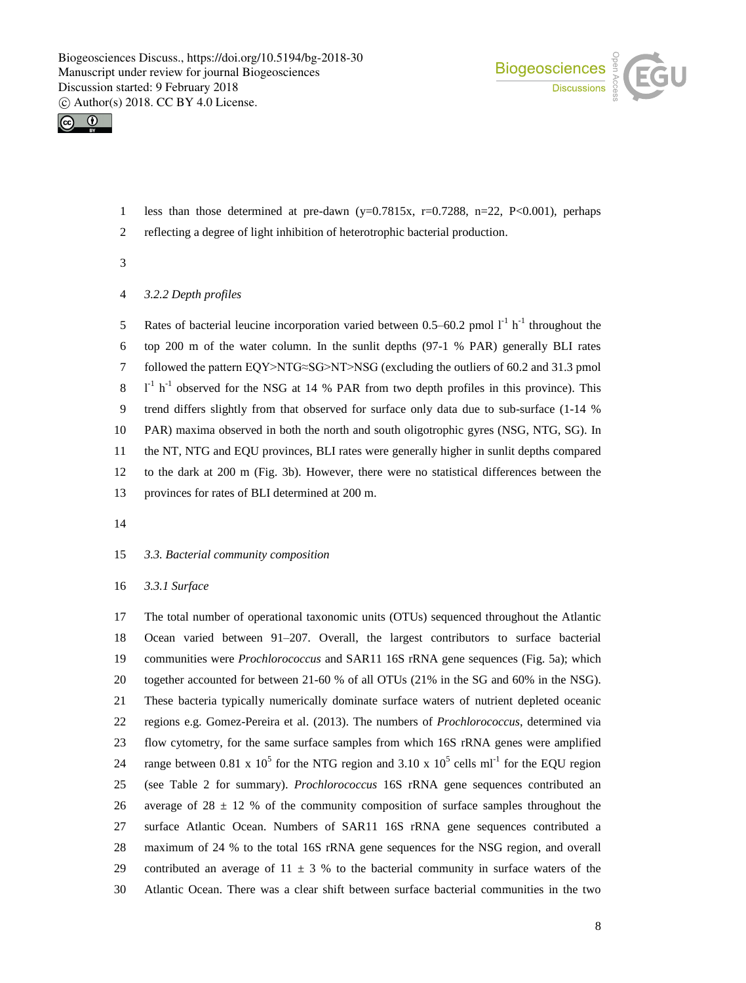



- 1 less than those determined at pre-dawn (y=0.7815x, r=0.7288, n=22, P<0.001), perhaps
- reflecting a degree of light inhibition of heterotrophic bacterial production.

*3.2.2 Depth profiles*

5 Rates of bacterial leucine incorporation varied between 0.5–60.2 pmol  $I<sup>-1</sup> h<sup>-1</sup>$  throughout the top 200 m of the water column. In the sunlit depths (97-1 % PAR) generally BLI rates followed the pattern EQY>NTG≈SG>NT>NSG (excluding the outliers of 60.2 and 31.3 pmol  $1<sup>-1</sup>$  h<sup>-1</sup> observed for the NSG at 14 % PAR from two depth profiles in this province). This trend differs slightly from that observed for surface only data due to sub-surface (1-14 % PAR) maxima observed in both the north and south oligotrophic gyres (NSG, NTG, SG). In the NT, NTG and EQU provinces, BLI rates were generally higher in sunlit depths compared to the dark at 200 m (Fig. 3b). However, there were no statistical differences between the provinces for rates of BLI determined at 200 m.

#### *3.3. Bacterial community composition*

*3.3.1 Surface*

 The total number of operational taxonomic units (OTUs) sequenced throughout the Atlantic Ocean varied between 91–207. Overall, the largest contributors to surface bacterial communities were *Prochlorococcus* and SAR11 16S rRNA gene sequences (Fig. 5a); which together accounted for between 21-60 % of all OTUs (21% in the SG and 60% in the NSG). These bacteria typically numerically dominate surface waters of nutrient depleted oceanic regions e.g. Gomez-Pereira et al. (2013). The numbers of *Prochlorococcus*, determined via flow cytometry, for the same surface samples from which 16S rRNA genes were amplified 24 range between 0.81 x  $10^5$  for the NTG region and 3.10 x  $10^5$  cells ml<sup>-1</sup> for the EQU region (see Table 2 for summary). *Prochlorococcus* 16S rRNA gene sequences contributed an 26 average of 28  $\pm$  12 % of the community composition of surface samples throughout the surface Atlantic Ocean. Numbers of SAR11 16S rRNA gene sequences contributed a maximum of 24 % to the total 16S rRNA gene sequences for the NSG region, and overall 29 contributed an average of  $11 \pm 3$  % to the bacterial community in surface waters of the Atlantic Ocean. There was a clear shift between surface bacterial communities in the two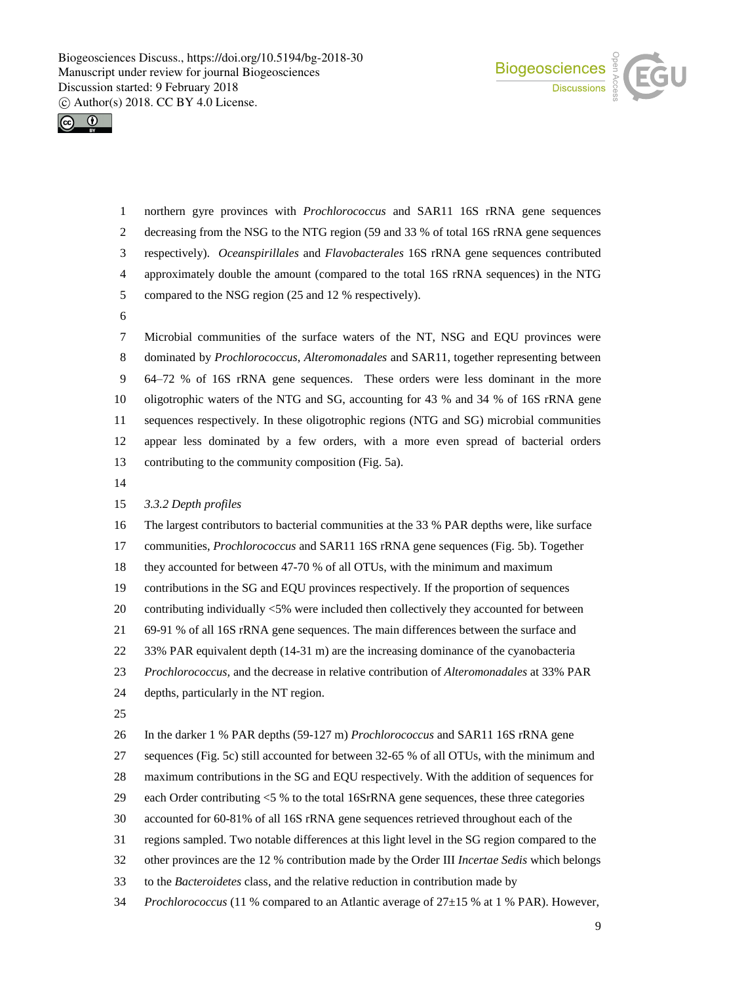



 northern gyre provinces with *Prochlorococcus* and SAR11 16S rRNA gene sequences decreasing from the NSG to the NTG region (59 and 33 % of total 16S rRNA gene sequences respectively). *Oceanspirillales* and *Flavobacterales* 16S rRNA gene sequences contributed approximately double the amount (compared to the total 16S rRNA sequences) in the NTG compared to the NSG region (25 and 12 % respectively).

 Microbial communities of the surface waters of the NT, NSG and EQU provinces were dominated by *Prochlorococcus*, *Alteromonadales* and SAR11, together representing between 64–72 % of 16S rRNA gene sequences. These orders were less dominant in the more oligotrophic waters of the NTG and SG, accounting for 43 % and 34 % of 16S rRNA gene sequences respectively. In these oligotrophic regions (NTG and SG) microbial communities appear less dominated by a few orders, with a more even spread of bacterial orders contributing to the community composition (Fig. 5a).

#### *3.3.2 Depth profiles*

 The largest contributors to bacterial communities at the 33 % PAR depths were, like surface communities, *Prochlorococcus* and SAR11 16S rRNA gene sequences (Fig. 5b). Together

they accounted for between 47-70 % of all OTUs, with the minimum and maximum

contributions in the SG and EQU provinces respectively. If the proportion of sequences

contributing individually <5% were included then collectively they accounted for between

69-91 % of all 16S rRNA gene sequences. The main differences between the surface and

33% PAR equivalent depth (14-31 m) are the increasing dominance of the cyanobacteria

*Prochlorococcus,* and the decrease in relative contribution of *Alteromonadales* at 33% PAR

- depths, particularly in the NT region.
- 

In the darker 1 % PAR depths (59-127 m) *Prochlorococcus* and SAR11 16S rRNA gene

sequences (Fig. 5c) still accounted for between 32-65 % of all OTUs, with the minimum and

maximum contributions in the SG and EQU respectively. With the addition of sequences for

- each Order contributing <5 % to the total 16SrRNA gene sequences, these three categories
- accounted for 60-81% of all 16S rRNA gene sequences retrieved throughout each of the
- regions sampled. Two notable differences at this light level in the SG region compared to the
- other provinces are the 12 % contribution made by the Order III *Incertae Sedis* which belongs
- to the *Bacteroidetes* class, and the relative reduction in contribution made by
- *Prochlorococcus* (11 % compared to an Atlantic average of 27±15 % at 1 % PAR). However,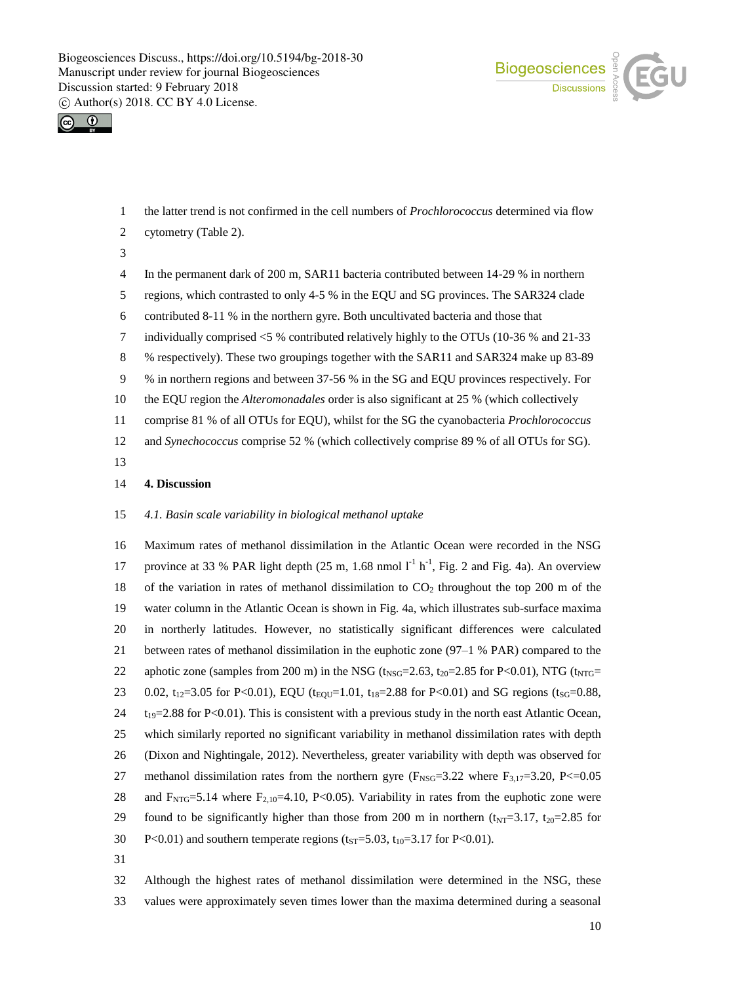



the latter trend is not confirmed in the cell numbers of *Prochlorococcus* determined via flow

- cytometry (Table 2).
- 

In the permanent dark of 200 m, SAR11 bacteria contributed between 14-29 % in northern

regions, which contrasted to only 4-5 % in the EQU and SG provinces. The SAR324 clade

- contributed 8-11 % in the northern gyre. Both uncultivated bacteria and those that
- individually comprised <5 % contributed relatively highly to the OTUs (10-36 % and 21-33
- % respectively). These two groupings together with the SAR11 and SAR324 make up 83-89

% in northern regions and between 37-56 % in the SG and EQU provinces respectively. For

the EQU region the *Alteromonadales* order is also significant at 25 % (which collectively

comprise 81 % of all OTUs for EQU), whilst for the SG the cyanobacteria *Prochlorococcus*

and *Synechococcus* comprise 52 % (which collectively comprise 89 % of all OTUs for SG).

## **4. Discussion**

#### *4.1. Basin scale variability in biological methanol uptake*

 Maximum rates of methanol dissimilation in the Atlantic Ocean were recorded in the NSG 17 province at 33 % PAR light depth  $(25 \text{ m}, 1.68 \text{ nmol l}^{-1} \text{ h}^{-1}$ , Fig. 2 and Fig. 4a). An overview 18 of the variation in rates of methanol dissimilation to  $CO<sub>2</sub>$  throughout the top 200 m of the water column in the Atlantic Ocean is shown in Fig. 4a, which illustrates sub-surface maxima in northerly latitudes. However, no statistically significant differences were calculated between rates of methanol dissimilation in the euphotic zone (97–1 % PAR) compared to the 22 aphotic zone (samples from 200 m) in the NSG ( $t_{NSG}$ =2.63,  $t_{20}$ =2.85 for P<0.01), NTG ( $t_{NTG}$ = 23 0.02, t<sub>12</sub>=3.05 for P<0.01), EQU (t<sub>EQU</sub>=1.01, t<sub>18</sub>=2.88 for P<0.01) and SG regions (t<sub>SG</sub>=0.88,  $t_{19}=2.88$  for P<0.01). This is consistent with a previous study in the north east Atlantic Ocean, which similarly reported no significant variability in methanol dissimilation rates with depth (Dixon and Nightingale, 2012). Nevertheless, greater variability with depth was observed for 27 methanol dissimilation rates from the northern gyre  $(F_{\text{NSG}}=3.22$  where  $F_{3,17}=3.20$ , P $\lt=0.05$ 28 and  $F_{NTG}=5.14$  where  $F_{2,10}=4.10$ , P<0.05). Variability in rates from the euphotic zone were 29 found to be significantly higher than those from 200 m in northern  $(t_{NT}=3.17, t_{20}=2.85$  for 30 P<0.01) and southern temperate regions ( $t_{ST}$ =5.03,  $t_{10}$ =3.17 for P<0.01). 

 Although the highest rates of methanol dissimilation were determined in the NSG, these values were approximately seven times lower than the maxima determined during a seasonal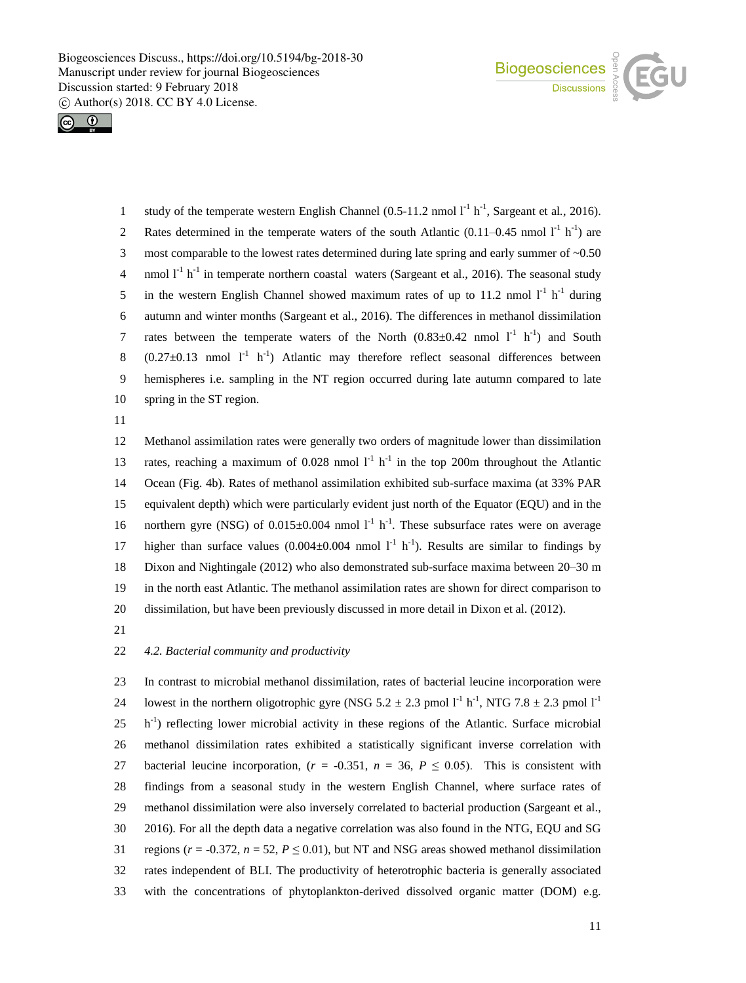



1 study of the temperate western English Channel  $(0.5{\text -}11.2 \text{ nmol } 1^1 \text{ h}^{-1}$ , Sargeant et al., 2016). 2 Rates determined in the temperate waters of the south Atlantic  $(0.11-0.45 \text{ nmol } I^1 \text{ h}^{-1})$  are 3 most comparable to the lowest rates determined during late spring and early summer of ~0.50 4 nmol  $l^{-1}$  h<sup>-1</sup> in temperate northern coastal waters (Sargeant et al., 2016). The seasonal study 5 in the western English Channel showed maximum rates of up to 11.2 nmol  $1<sup>-1</sup> h<sup>-1</sup>$  during 6 autumn and winter months (Sargeant et al., 2016). The differences in methanol dissimilation 7 rates between the temperate waters of the North  $(0.83\pm0.42 \text{ nmol } l^{\text{-}1} \text{ h}^{\text{-}1})$  and South 8  $(0.27 \pm 0.13$  nmol  $1^{-1}$  h<sup>-1</sup>) Atlantic may therefore reflect seasonal differences between 9 hemispheres i.e. sampling in the NT region occurred during late autumn compared to late 10 spring in the ST region.

11

 Methanol assimilation rates were generally two orders of magnitude lower than dissimilation 13 rates, reaching a maximum of 0.028 nmol  $I<sup>-1</sup> h<sup>-1</sup>$  in the top 200m throughout the Atlantic Ocean (Fig. 4b). Rates of methanol assimilation exhibited sub-surface maxima (at 33% PAR equivalent depth) which were particularly evident just north of the Equator (EQU) and in the 16 northern gyre (NSG) of  $0.015 \pm 0.004$  nmol  $1^{-1}$  h<sup>-1</sup>. These subsurface rates were on average 17 higher than surface values  $(0.004 \pm 0.004 \text{ nmol } l^{\text{-}l} \text{ h}^{\text{-}l})$ . Results are similar to findings by Dixon and Nightingale (2012) who also demonstrated sub-surface maxima between 20–30 m in the north east Atlantic. The methanol assimilation rates are shown for direct comparison to dissimilation, but have been previously discussed in more detail in Dixon et al. (2012).

21

## 22 *4.2. Bacterial community and productivity*

 In contrast to microbial methanol dissimilation, rates of bacterial leucine incorporation were 24 Iowest in the northern oligotrophic gyre (NSG 5.2  $\pm$  2.3 pmol  $I^1$  h<sup>-1</sup>, NTG 7.8  $\pm$  2.3 pmol  $I^1$ 25 h<sup>-1</sup>) reflecting lower microbial activity in these regions of the Atlantic. Surface microbial methanol dissimilation rates exhibited a statistically significant inverse correlation with 27 bacterial leucine incorporation,  $(r = -0.351, n = 36, P \le 0.05)$ . This is consistent with findings from a seasonal study in the western English Channel, where surface rates of methanol dissimilation were also inversely correlated to bacterial production (Sargeant et al., 2016). For all the depth data a negative correlation was also found in the NTG, EQU and SG 31 regions ( $r = -0.372$ ,  $n = 52$ ,  $P \le 0.01$ ), but NT and NSG areas showed methanol dissimilation rates independent of BLI. The productivity of heterotrophic bacteria is generally associated with the concentrations of phytoplankton-derived dissolved organic matter (DOM) e.g.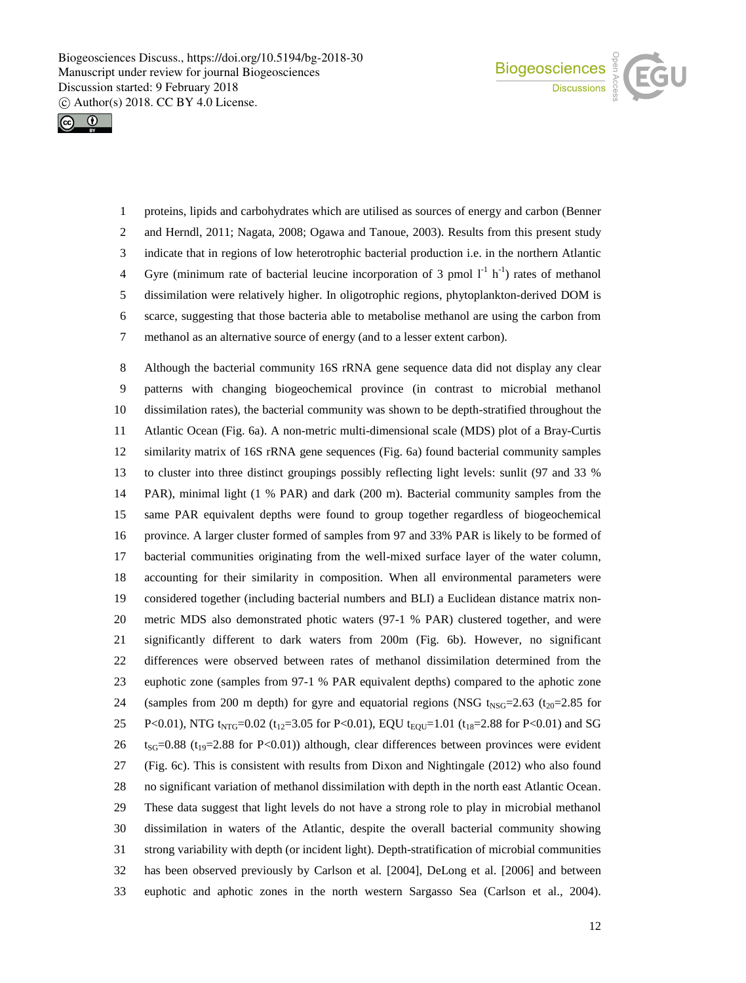



 proteins, lipids and carbohydrates which are utilised as sources of energy and carbon (Benner and Herndl, 2011; Nagata, 2008; Ogawa and Tanoue, 2003). Results from this present study indicate that in regions of low heterotrophic bacterial production i.e. in the northern Atlantic 4 Gyre (minimum rate of bacterial leucine incorporation of 3 pmol  $1^{-1}$  h<sup>-1</sup>) rates of methanol dissimilation were relatively higher. In oligotrophic regions, phytoplankton-derived DOM is scarce, suggesting that those bacteria able to metabolise methanol are using the carbon from methanol as an alternative source of energy (and to a lesser extent carbon).

 Although the bacterial community 16S rRNA gene sequence data did not display any clear patterns with changing biogeochemical province (in contrast to microbial methanol dissimilation rates), the bacterial community was shown to be depth-stratified throughout the Atlantic Ocean (Fig. 6a). A non-metric multi-dimensional scale (MDS) plot of a Bray-Curtis similarity matrix of 16S rRNA gene sequences (Fig. 6a) found bacterial community samples to cluster into three distinct groupings possibly reflecting light levels: sunlit (97 and 33 % PAR), minimal light (1 % PAR) and dark (200 m). Bacterial community samples from the same PAR equivalent depths were found to group together regardless of biogeochemical province. A larger cluster formed of samples from 97 and 33% PAR is likely to be formed of bacterial communities originating from the well-mixed surface layer of the water column, accounting for their similarity in composition. When all environmental parameters were considered together (including bacterial numbers and BLI) a Euclidean distance matrix non- metric MDS also demonstrated photic waters (97-1 % PAR) clustered together, and were significantly different to dark waters from 200m (Fig. 6b). However, no significant differences were observed between rates of methanol dissimilation determined from the euphotic zone (samples from 97-1 % PAR equivalent depths) compared to the aphotic zone 24 (samples from 200 m depth) for gyre and equatorial regions (NSG  $t_{NSG}=2.63$  ( $t_{20}=2.85$  for 25 P<0.01), NTG t<sub>NTG</sub>=0.02 (t<sub>12</sub>=3.05 for P<0.01), EQU t<sub>EQU</sub>=1.01 (t<sub>18</sub>=2.88 for P<0.01) and SG  $t_{\text{SG}}$ =0.88 (t<sub>19</sub>=2.88 for P<0.01)) although, clear differences between provinces were evident (Fig. 6c). This is consistent with results from Dixon and Nightingale (2012) who also found no significant variation of methanol dissimilation with depth in the north east Atlantic Ocean. These data suggest that light levels do not have a strong role to play in microbial methanol dissimilation in waters of the Atlantic, despite the overall bacterial community showing strong variability with depth (or incident light). Depth-stratification of microbial communities has been observed previously by Carlson et al*.* [2004], DeLong et al. [2006] and between euphotic and aphotic zones in the north western Sargasso Sea (Carlson et al., 2004).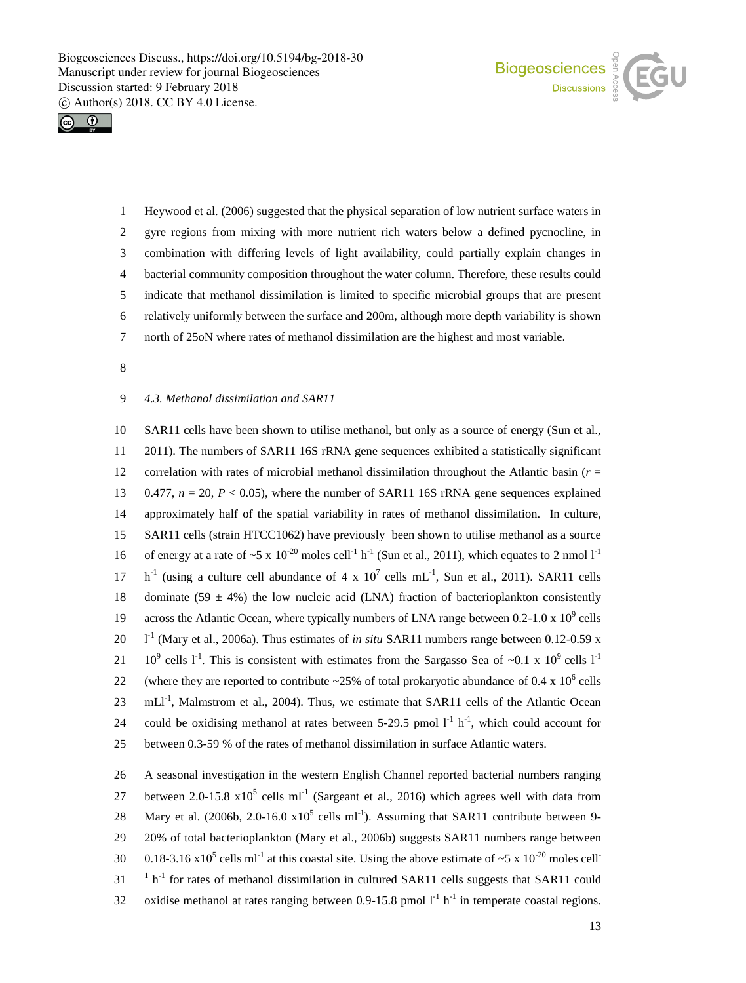



 Heywood et al. (2006) suggested that the physical separation of low nutrient surface waters in gyre regions from mixing with more nutrient rich waters below a defined pycnocline, in combination with differing levels of light availability, could partially explain changes in bacterial community composition throughout the water column. Therefore, these results could indicate that methanol dissimilation is limited to specific microbial groups that are present relatively uniformly between the surface and 200m, although more depth variability is shown north of 25oN where rates of methanol dissimilation are the highest and most variable.

8

## 9 *4.3. Methanol dissimilation and SAR11*

10 SAR11 cells have been shown to utilise methanol, but only as a source of energy (Sun et al., 11 2011). The numbers of SAR11 16S rRNA gene sequences exhibited a statistically significant 12 correlation with rates of microbial methanol dissimilation throughout the Atlantic basin (*r* = 13 0.477,  $n = 20$ ,  $P < 0.05$ ), where the number of SAR11 16S rRNA gene sequences explained 14 approximately half of the spatial variability in rates of methanol dissimilation. In culture, 15 SAR11 cells (strain HTCC1062) have previously been shown to utilise methanol as a source 16 of energy at a rate of  $\sim$  5 x 10<sup>-20</sup> moles cell<sup>-1</sup> h<sup>-1</sup> (Sun et al., 2011), which equates to 2 nmol l<sup>-1</sup> 17  $h^{-1}$  (using a culture cell abundance of 4 x 10<sup>7</sup> cells mL<sup>-1</sup>, Sun et al., 2011). SAR11 cells 18 dominate (59  $\pm$  4%) the low nucleic acid (LNA) fraction of bacterioplankton consistently 19 across the Atlantic Ocean, where typically numbers of LNA range between 0.2-1.0 x  $10^9$  cells 20  $I<sup>-1</sup>$  (Mary et al., 2006a). Thus estimates of *in situ* SAR11 numbers range between 0.12-0.59 x 21 10<sup>9</sup> cells 1<sup>-1</sup>. This is consistent with estimates from the Sargasso Sea of ~0.1 x 10<sup>9</sup> cells 1<sup>-1</sup> 22 (where they are reported to contribute  $\approx$  25% of total prokaryotic abundance of 0.4 x 10<sup>6</sup> cells 23  $\text{mLI}^{-1}$ , Malmstrom et al., 2004). Thus, we estimate that SAR11 cells of the Atlantic Ocean 24 could be oxidising methanol at rates between 5-29.5 pmol  $1^{-1}$  h<sup>-1</sup>, which could account for 25 between 0.3-59 % of the rates of methanol dissimilation in surface Atlantic waters.

26 A seasonal investigation in the western English Channel reported bacterial numbers ranging 27 between 2.0-15.8  $x10^5$  cells ml<sup>-1</sup> (Sargeant et al., 2016) which agrees well with data from 28 Mary et al. (2006b, 2.0-16.0  $x10^5$  cells ml<sup>-1</sup>). Assuming that SAR11 contribute between 9-29 20% of total bacterioplankton (Mary et al., 2006b) suggests SAR11 numbers range between 30 0.18-3.16 x10<sup>5</sup> cells ml<sup>-1</sup> at this coastal site. Using the above estimate of ~5 x 10<sup>-20</sup> moles cell<sup>-3</sup>  $1 - 1$  h<sup>-1</sup> for rates of methanol dissimilation in cultured SAR11 cells suggests that SAR11 could 32 oxidise methanol at rates ranging between 0.9-15.8 pmol  $l^{-1}$  h<sup>-1</sup> in temperate coastal regions.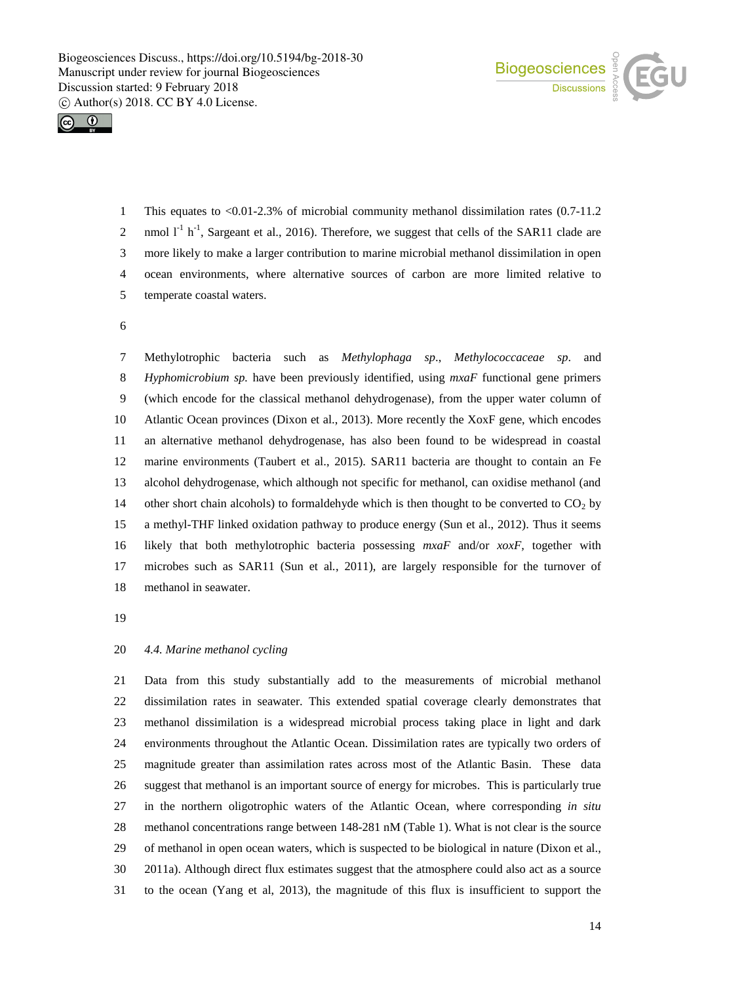



 This equates to <0.01-2.3% of microbial community methanol dissimilation rates (0.7-11.2 2 nmol  $I^1$  h<sup>-1</sup>, Sargeant et al., 2016). Therefore, we suggest that cells of the SAR11 clade are more likely to make a larger contribution to marine microbial methanol dissimilation in open ocean environments, where alternative sources of carbon are more limited relative to temperate coastal waters.

 Methylotrophic bacteria such as *Methylophaga sp*., *Methylococcaceae sp*. and *Hyphomicrobium sp.* have been previously identified, using *mxaF* functional gene primers (which encode for the classical methanol dehydrogenase), from the upper water column of Atlantic Ocean provinces (Dixon et al., 2013). More recently the XoxF gene, which encodes an alternative methanol dehydrogenase, has also been found to be widespread in coastal marine environments (Taubert et al., 2015). SAR11 bacteria are thought to contain an Fe alcohol dehydrogenase, which although not specific for methanol, can oxidise methanol (and 14 other short chain alcohols) to formaldehyde which is then thought to be converted to  $CO<sub>2</sub>$  by a methyl-THF linked oxidation pathway to produce energy (Sun et al., 2012). Thus it seems likely that both methylotrophic bacteria possessing *mxaF* and/or *xoxF,* together with microbes such as SAR11 (Sun et al*.*, 2011), are largely responsible for the turnover of methanol in seawater.

## *4.4. Marine methanol cycling*

 Data from this study substantially add to the measurements of microbial methanol dissimilation rates in seawater. This extended spatial coverage clearly demonstrates that methanol dissimilation is a widespread microbial process taking place in light and dark environments throughout the Atlantic Ocean. Dissimilation rates are typically two orders of magnitude greater than assimilation rates across most of the Atlantic Basin. These data suggest that methanol is an important source of energy for microbes. This is particularly true in the northern oligotrophic waters of the Atlantic Ocean, where corresponding *in situ* methanol concentrations range between 148-281 nM (Table 1). What is not clear is the source of methanol in open ocean waters, which is suspected to be biological in nature (Dixon et al., 2011a). Although direct flux estimates suggest that the atmosphere could also act as a source to the ocean (Yang et al, 2013), the magnitude of this flux is insufficient to support the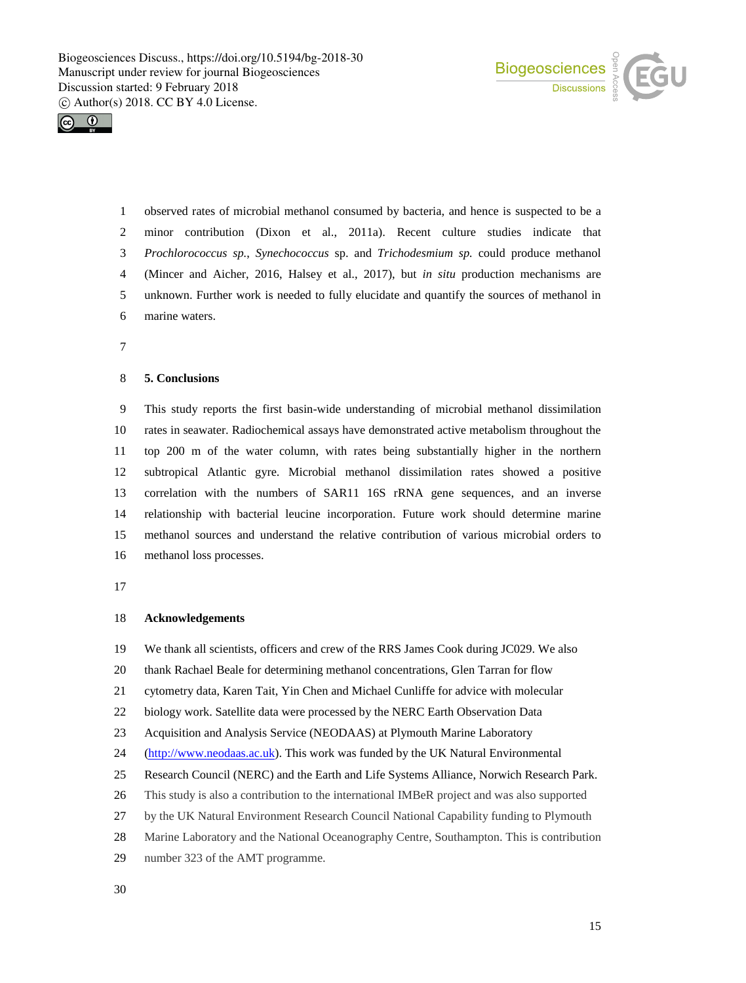



 observed rates of microbial methanol consumed by bacteria, and hence is suspected to be a minor contribution (Dixon et al., 2011a). Recent culture studies indicate that *Prochlorococcus sp.*, *Synechococcus* sp. and *Trichodesmium sp.* could produce methanol (Mincer and Aicher, 2016, Halsey et al., 2017), but *in situ* production mechanisms are unknown. Further work is needed to fully elucidate and quantify the sources of methanol in marine waters.

### **5. Conclusions**

 This study reports the first basin-wide understanding of microbial methanol dissimilation rates in seawater. Radiochemical assays have demonstrated active metabolism throughout the top 200 m of the water column, with rates being substantially higher in the northern subtropical Atlantic gyre. Microbial methanol dissimilation rates showed a positive correlation with the numbers of SAR11 16S rRNA gene sequences, and an inverse relationship with bacterial leucine incorporation. Future work should determine marine methanol sources and understand the relative contribution of various microbial orders to methanol loss processes.

#### **Acknowledgements**

We thank all scientists, officers and crew of the RRS James Cook during JC029. We also

thank Rachael Beale for determining methanol concentrations, Glen Tarran for flow

cytometry data, Karen Tait, Yin Chen and Michael Cunliffe for advice with molecular

biology work. Satellite data were processed by the NERC Earth Observation Data

Acquisition and Analysis Service (NEODAAS) at Plymouth Marine Laboratory

(http://www.neodaas.ac.uk). This work was funded by the UK Natural Environmental

Research Council (NERC) and the Earth and Life Systems Alliance, Norwich Research Park.

- This study is also a contribution to the international IMBeR project and was also supported
- by the UK Natural Environment Research Council National Capability funding to Plymouth
- Marine Laboratory and the National Oceanography Centre, Southampton. This is contribution
- number 323 of the AMT programme.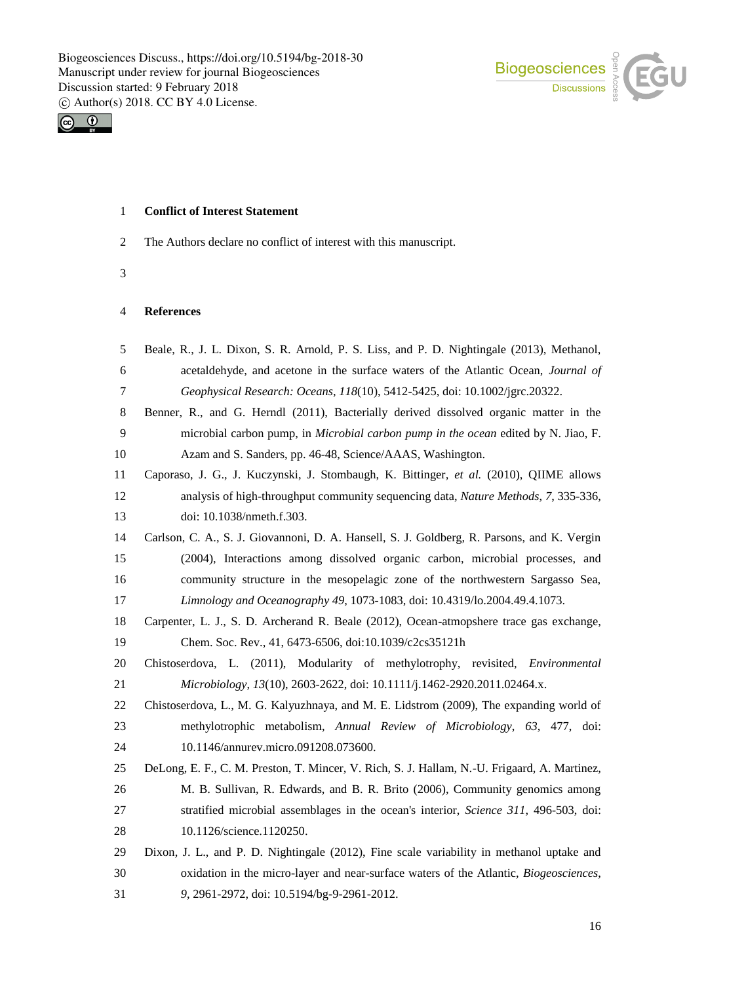



## **Conflict of Interest Statement**

- The Authors declare no conflict of interest with this manuscript.
- 

## **References**

| 5                | Beale, R., J. L. Dixon, S. R. Arnold, P. S. Liss, and P. D. Nightingale (2013), Methanol,    |
|------------------|----------------------------------------------------------------------------------------------|
| 6                | acetaldehyde, and acetone in the surface waters of the Atlantic Ocean, Journal of            |
| $\boldsymbol{7}$ | Geophysical Research: Oceans, 118(10), 5412-5425, doi: 10.1002/jgrc.20322.                   |
| $8\,$            | Benner, R., and G. Herndl (2011), Bacterially derived dissolved organic matter in the        |
| 9                | microbial carbon pump, in <i>Microbial carbon pump in the ocean</i> edited by N. Jiao, F.    |
| 10               | Azam and S. Sanders, pp. 46-48, Science/AAAS, Washington.                                    |
| 11               | Caporaso, J. G., J. Kuczynski, J. Stombaugh, K. Bittinger, et al. (2010), QIIME allows       |
| 12               | analysis of high-throughput community sequencing data, Nature Methods, 7, 335-336,           |
| 13               | doi: 10.1038/nmeth.f.303.                                                                    |
| 14               | Carlson, C. A., S. J. Giovannoni, D. A. Hansell, S. J. Goldberg, R. Parsons, and K. Vergin   |
| 15               | (2004), Interactions among dissolved organic carbon, microbial processes, and                |
| 16               | community structure in the mesopelagic zone of the northwestern Sargasso Sea,                |
| 17               | Limnology and Oceanography 49, 1073-1083, doi: 10.4319/lo.2004.49.4.1073.                    |
| 18               | Carpenter, L. J., S. D. Archerand R. Beale (2012), Ocean-atmopshere trace gas exchange,      |
| 19               | Chem. Soc. Rev., 41, 6473-6506, doi:10.1039/c2cs35121h                                       |
| 20               | Chistoserdova, L. (2011), Modularity of methylotrophy, revisited, Environmental              |
| 21               | Microbiology, 13(10), 2603-2622, doi: 10.1111/j.1462-2920.2011.02464.x.                      |
| 22               | Chistoserdova, L., M. G. Kalyuzhnaya, and M. E. Lidstrom (2009), The expanding world of      |
| 23               | methylotrophic metabolism, Annual Review of Microbiology, 63, 477, doi:                      |
| 24               | 10.1146/annurev.micro.091208.073600.                                                         |
| 25               | DeLong, E. F., C. M. Preston, T. Mincer, V. Rich, S. J. Hallam, N.-U. Frigaard, A. Martinez, |
| 26               | M. B. Sullivan, R. Edwards, and B. R. Brito (2006), Community genomics among                 |
| 27               | stratified microbial assemblages in the ocean's interior, Science 311, 496-503, doi:         |
| 28               | 10.1126/science.1120250.                                                                     |
| 29               | Dixon, J. L., and P. D. Nightingale (2012), Fine scale variability in methanol uptake and    |
| 30               | oxidation in the micro-layer and near-surface waters of the Atlantic, Biogeosciences,        |
| 31               | 9, 2961-2972, doi: 10.5194/bg-9-2961-2012.                                                   |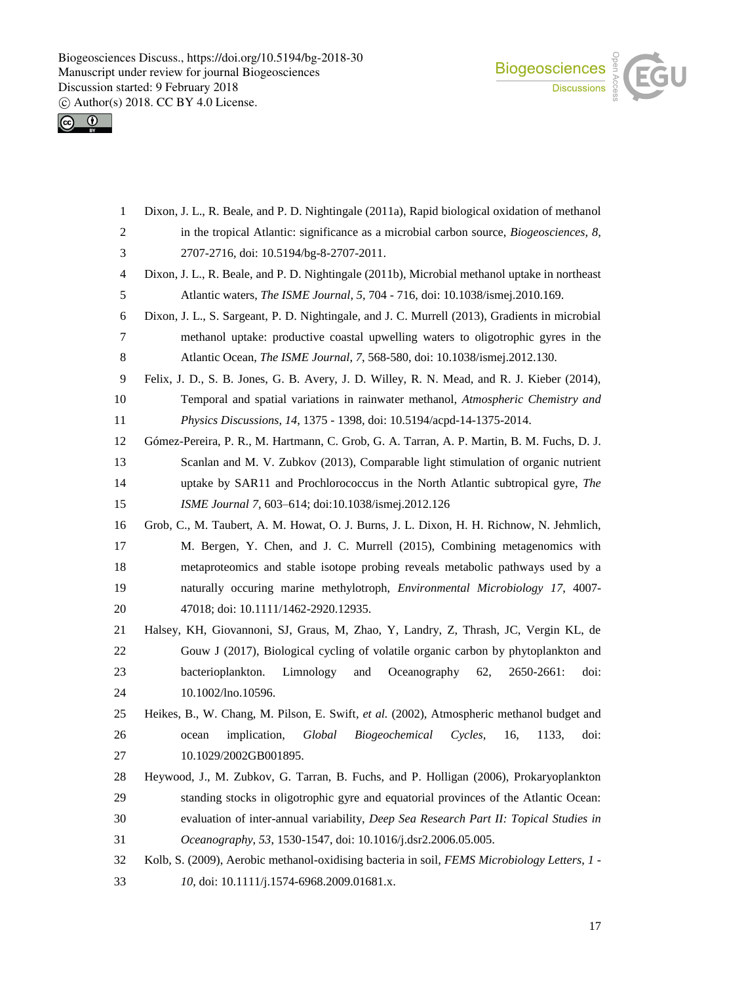



 Dixon, J. L., R. Beale, and P. D. Nightingale (2011a), Rapid biological oxidation of methanol in the tropical Atlantic: significance as a microbial carbon source, *Biogeosciences*, *8*, 2707-2716, doi: 10.5194/bg-8-2707-2011. Dixon, J. L., R. Beale, and P. D. Nightingale (2011b), Microbial methanol uptake in northeast Atlantic waters, *The ISME Journal*, *5*, 704 - 716, doi: 10.1038/ismej.2010.169. Dixon, J. L., S. Sargeant, P. D. Nightingale, and J. C. Murrell (2013), Gradients in microbial methanol uptake: productive coastal upwelling waters to oligotrophic gyres in the Atlantic Ocean, *The ISME Journal*, *7*, 568-580, doi: 10.1038/ismej.2012.130. Felix, J. D., S. B. Jones, G. B. Avery, J. D. Willey, R. N. Mead, and R. J. Kieber (2014), Temporal and spatial variations in rainwater methanol, *Atmospheric Chemistry and Physics Discussions*, *14*, 1375 - 1398, doi: 10.5194/acpd-14-1375-2014. Gómez-Pereira, P. R., M. Hartmann, C. Grob, G. A. Tarran, A. P. Martin, B. M. Fuchs, D. J. Scanlan and M. V. Zubkov (2013), Comparable light stimulation of organic nutrient uptake by SAR11 and Prochlorococcus in the North Atlantic subtropical gyre, *The ISME Journal 7*, 603–614; doi:10.1038/ismej.2012.126 Grob, C., M. Taubert, A. M. Howat, O. J. Burns, J. L. Dixon, H. H. Richnow, N. Jehmlich, M. Bergen, Y. Chen, and J. C. Murrell (2015), Combining metagenomics with metaproteomics and stable isotope probing reveals metabolic pathways used by a naturally occuring marine methylotroph, *Environmental Microbiology 17*, 4007- 47018; doi: 10.1111/1462-2920.12935. Halsey, KH, Giovannoni, SJ, Graus, M, Zhao, Y, Landry, Z, Thrash, JC, Vergin KL, de Gouw J (2017), Biological cycling of volatile organic carbon by phytoplankton and bacterioplankton. Limnology and Oceanography 62, 2650-2661: doi: 10.1002/lno.10596. Heikes, B., W. Chang, M. Pilson, E. Swift*, et al.* (2002), Atmospheric methanol budget and ocean implication, *Global Biogeochemical Cycles*, 16, 1133, doi: 27 10.1029/2002GB001895. Heywood, J., M. Zubkov, G. Tarran, B. Fuchs, and P. Holligan (2006), Prokaryoplankton standing stocks in oligotrophic gyre and equatorial provinces of the Atlantic Ocean: evaluation of inter-annual variability, *Deep Sea Research Part II: Topical Studies in Oceanography*, *53*, 1530-1547, doi: 10.1016/j.dsr2.2006.05.005. Kolb, S. (2009), Aerobic methanol-oxidising bacteria in soil, *FEMS Microbiology Letters*, *1 - 10*, doi: 10.1111/j.1574-6968.2009.01681.x.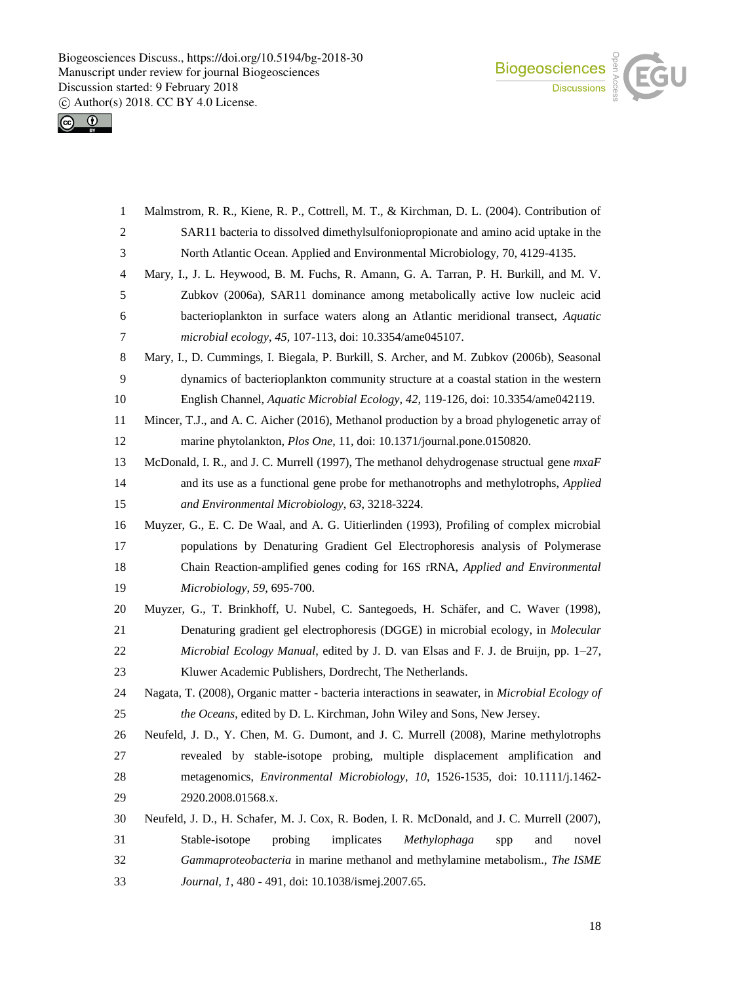



| $\mathbf{1}$   | Malmstrom, R. R., Kiene, R. P., Cottrell, M. T., & Kirchman, D. L. (2004). Contribution of       |
|----------------|--------------------------------------------------------------------------------------------------|
| 2              | SAR11 bacteria to dissolved dimethylsulfoniopropionate and amino acid uptake in the              |
| 3              | North Atlantic Ocean. Applied and Environmental Microbiology, 70, 4129-4135.                     |
| $\overline{4}$ | Mary, I., J. L. Heywood, B. M. Fuchs, R. Amann, G. A. Tarran, P. H. Burkill, and M. V.           |
| 5              | Zubkov (2006a), SAR11 dominance among metabolically active low nucleic acid                      |
| 6              | bacterioplankton in surface waters along an Atlantic meridional transect, Aquatic                |
| 7              | microbial ecology, 45, 107-113, doi: 10.3354/ame045107.                                          |
| 8              | Mary, I., D. Cummings, I. Biegala, P. Burkill, S. Archer, and M. Zubkov (2006b), Seasonal        |
| 9              | dynamics of bacterioplankton community structure at a coastal station in the western             |
| 10             | English Channel, Aquatic Microbial Ecology, 42, 119-126, doi: 10.3354/ame042119.                 |
| 11             | Mincer, T.J., and A. C. Aicher (2016), Methanol production by a broad phylogenetic array of      |
| 12             | marine phytolankton, Plos One, 11, doi: 10.1371/journal.pone.0150820.                            |
| 13             | McDonald, I. R., and J. C. Murrell (1997), The methanol dehydrogenase structual gene <i>mxaF</i> |
| 14             | and its use as a functional gene probe for methanotrophs and methylotrophs, <i>Applied</i>       |
| 15             | and Environmental Microbiology, 63, 3218-3224.                                                   |
| 16             | Muyzer, G., E. C. De Waal, and A. G. Uitierlinden (1993), Profiling of complex microbial         |
| 17             | populations by Denaturing Gradient Gel Electrophoresis analysis of Polymerase                    |
| 18             | Chain Reaction-amplified genes coding for 16S rRNA, Applied and Environmental                    |
| 19             | Microbiology, 59, 695-700.                                                                       |
| 20             | Muyzer, G., T. Brinkhoff, U. Nubel, C. Santegoeds, H. Schäfer, and C. Waver (1998),              |
| 21             | Denaturing gradient gel electrophoresis (DGGE) in microbial ecology, in Molecular                |
| 22             | Microbial Ecology Manual, edited by J. D. van Elsas and F. J. de Bruijn, pp. 1–27,               |
| 23             | Kluwer Academic Publishers, Dordrecht, The Netherlands.                                          |
| 24             | Nagata, T. (2008), Organic matter - bacteria interactions in seawater, in Microbial Ecology of   |
| 25             | the Oceans, edited by D. L. Kirchman, John Wiley and Sons, New Jersey.                           |
| 26             | Neufeld, J. D., Y. Chen, M. G. Dumont, and J. C. Murrell (2008), Marine methylotrophs            |
| 27             | revealed by stable-isotope probing, multiple displacement amplification and                      |
| 28             | metagenomics, Environmental Microbiology, 10, 1526-1535, doi: 10.1111/j.1462-                    |
| 29             | 2920.2008.01568.x.                                                                               |
| 30             | Neufeld, J. D., H. Schafer, M. J. Cox, R. Boden, I. R. McDonald, and J. C. Murrell (2007),       |
| 31             | Stable-isotope<br>probing<br>implicates<br>Methylophaga<br>and<br>novel<br>spp                   |
| 32             | Gammaproteobacteria in marine methanol and methylamine metabolism., The ISME                     |
| 33             | Journal, 1, 480 - 491, doi: 10.1038/ismej.2007.65.                                               |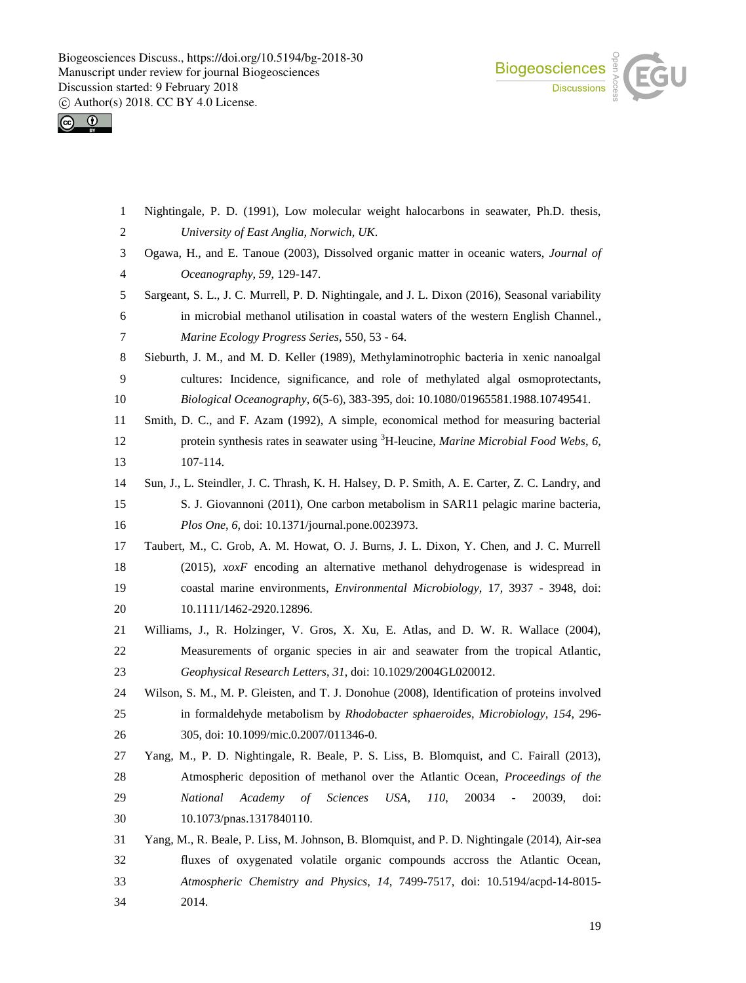



| $\mathbf{1}$ | Nightingale, P. D. (1991), Low molecular weight halocarbons in seawater, Ph.D. thesis,                   |
|--------------|----------------------------------------------------------------------------------------------------------|
| 2            | University of East Anglia, Norwich, UK.                                                                  |
| 3            | Ogawa, H., and E. Tanoue (2003), Dissolved organic matter in oceanic waters, Journal of                  |
| 4            | Oceanography, 59, 129-147.                                                                               |
| 5            | Sargeant, S. L., J. C. Murrell, P. D. Nightingale, and J. L. Dixon (2016), Seasonal variability          |
| 6            | in microbial methanol utilisation in coastal waters of the western English Channel.,                     |
| 7            | Marine Ecology Progress Series, 550, 53 - 64.                                                            |
| 8            | Sieburth, J. M., and M. D. Keller (1989), Methylaminotrophic bacteria in xenic nanoalgal                 |
| 9            | cultures: Incidence, significance, and role of methylated algal osmoprotectants,                         |
| 10           | Biological Oceanography, 6(5-6), 383-395, doi: 10.1080/01965581.1988.10749541.                           |
| 11           | Smith, D. C., and F. Azam (1992), A simple, economical method for measuring bacterial                    |
| 12           | protein synthesis rates in seawater using <sup>3</sup> H-leucine, <i>Marine Microbial Food Webs</i> , 6, |
| 13           | 107-114.                                                                                                 |
| 14           | Sun, J., L. Steindler, J. C. Thrash, K. H. Halsey, D. P. Smith, A. E. Carter, Z. C. Landry, and          |
| 15           | S. J. Giovannoni (2011), One carbon metabolism in SAR11 pelagic marine bacteria,                         |
| 16           | Plos One, 6, doi: 10.1371/journal.pone.0023973.                                                          |
| 17           | Taubert, M., C. Grob, A. M. Howat, O. J. Burns, J. L. Dixon, Y. Chen, and J. C. Murrell                  |
| 18           | $(2015)$ , $xoxF$ encoding an alternative methanol dehydrogenase is widespread in                        |
| 19           | coastal marine environments, <i>Environmental Microbiology</i> , 17, 3937 - 3948, doi:                   |
| 20           | 10.1111/1462-2920.12896.                                                                                 |
| 21           | Williams, J., R. Holzinger, V. Gros, X. Xu, E. Atlas, and D. W. R. Wallace (2004),                       |
| 22           | Measurements of organic species in air and seawater from the tropical Atlantic,                          |
| 23           | Geophysical Research Letters, 31, doi: 10.1029/2004GL020012.                                             |
| 24           | Wilson, S. M., M. P. Gleisten, and T. J. Donohue (2008), Identification of proteins involved             |
| 25           | in formaldehyde metabolism by Rhodobacter sphaeroides, Microbiology, 154, 296-                           |
| 26           | 305, doi: 10.1099/mic.0.2007/011346-0.                                                                   |
| 27           | Yang, M., P. D. Nightingale, R. Beale, P. S. Liss, B. Blomquist, and C. Fairall (2013),                  |
| 28           | Atmospheric deposition of methanol over the Atlantic Ocean, Proceedings of the                           |
| 29           | National<br>Academy<br><b>Sciences</b><br>20034<br>$\sigma f$<br>USA,<br>110,<br>20039,<br>doi:          |
| 30           | 10.1073/pnas.1317840110.                                                                                 |
| 31           | Yang, M., R. Beale, P. Liss, M. Johnson, B. Blomquist, and P. D. Nightingale (2014), Air-sea             |
| 32           | fluxes of oxygenated volatile organic compounds accross the Atlantic Ocean,                              |
| 33           | Atmospheric Chemistry and Physics, 14, 7499-7517, doi: 10.5194/acpd-14-8015-                             |
| 34           | 2014.                                                                                                    |
|              |                                                                                                          |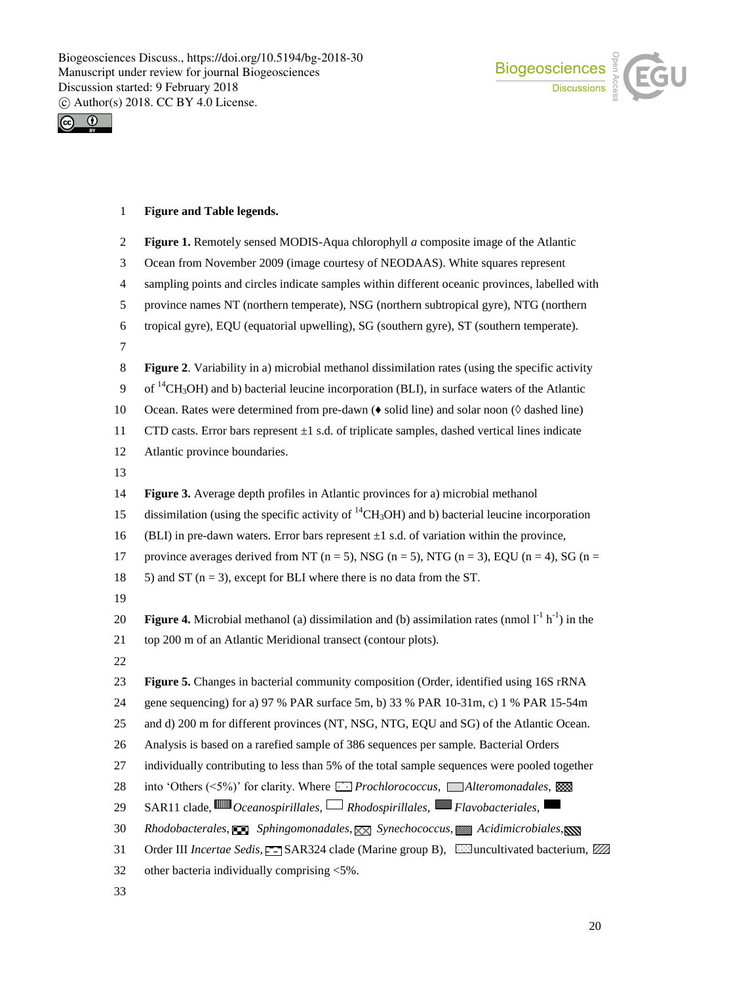



## **Figure and Table legends.**

| $\overline{c}$ | Figure 1. Remotely sensed MODIS-Aqua chlorophyll $a$ composite image of the Atlantic                                     |
|----------------|--------------------------------------------------------------------------------------------------------------------------|
| 3              | Ocean from November 2009 (image courtesy of NEODAAS). White squares represent                                            |
| $\overline{4}$ | sampling points and circles indicate samples within different oceanic provinces, labelled with                           |
| 5              | province names NT (northern temperate), NSG (northern subtropical gyre), NTG (northern                                   |
| 6              | tropical gyre), EQU (equatorial upwelling), SG (southern gyre), ST (southern temperate).                                 |
| $\tau$         |                                                                                                                          |
| 8              | Figure 2. Variability in a) microbial methanol dissimilation rates (using the specific activity                          |
| 9              | of <sup>14</sup> CH <sub>3</sub> OH) and b) bacterial leucine incorporation (BLI), in surface waters of the Atlantic     |
| $10\,$         | Ocean. Rates were determined from pre-dawn ( $\bullet$ solid line) and solar noon ( $\Diamond$ dashed line)              |
| 11             | CTD casts. Error bars represent $\pm 1$ s.d. of triplicate samples, dashed vertical lines indicate                       |
| 12             | Atlantic province boundaries.                                                                                            |
| 13             |                                                                                                                          |
| 14             | Figure 3. Average depth profiles in Atlantic provinces for a) microbial methanol                                         |
| 15             | dissimilation (using the specific activity of ${}^{14}CH_3OH$ ) and b) bacterial leucine incorporation                   |
| 16             | (BLI) in pre-dawn waters. Error bars represent $\pm 1$ s.d. of variation within the province,                            |
| 17             | province averages derived from NT ( $n = 5$ ), NSG ( $n = 5$ ), NTG ( $n = 3$ ), EQU ( $n = 4$ ), SG ( $n =$             |
| 18             | 5) and ST ( $n = 3$ ), except for BLI where there is no data from the ST.                                                |
| 19             |                                                                                                                          |
| 20             | <b>Figure 4.</b> Microbial methanol (a) dissimilation and (b) assimilation rates (nmol $1^{-1}$ h <sup>-1</sup> ) in the |
| 21             | top 200 m of an Atlantic Meridional transect (contour plots).                                                            |
| 22             |                                                                                                                          |
| 23             | Figure 5. Changes in bacterial community composition (Order, identified using 16S rRNA                                   |
| 24             | gene sequencing) for a) 97 % PAR surface 5m, b) 33 % PAR 10-31m, c) 1 % PAR 15-54m                                       |
| 25             | and d) 200 m for different provinces (NT, NSG, NTG, EQU and SG) of the Atlantic Ocean.                                   |
| 26             | Analysis is based on a rarefied sample of 386 sequences per sample. Bacterial Orders                                     |
| 27             | individually contributing to less than 5% of the total sample sequences were pooled together                             |
| 28             | into 'Others (<5%)' for clarity. Where <i>Prochlorococcus</i> , Alteromonadales,                                         |
| 29             | SAR11 clade, $\mathbb{III}$ Oceanospirillales, $\Box$ Rhodospirillales, $\Box$ Flavobacteriales,                         |
| 30             | Rhodobacterales, $\Box$ Sphingomonadales, $\boxtimes$ Synechococcus, $\Box$ Acidimicrobiales, $\Box$                     |
| 31             | Order III Incertae Sedis, F- SAR324 clade (Marine group B), Essuncultivated bacterium, ZZ                                |
| 32             | other bacteria individually comprising <5%.                                                                              |
|                |                                                                                                                          |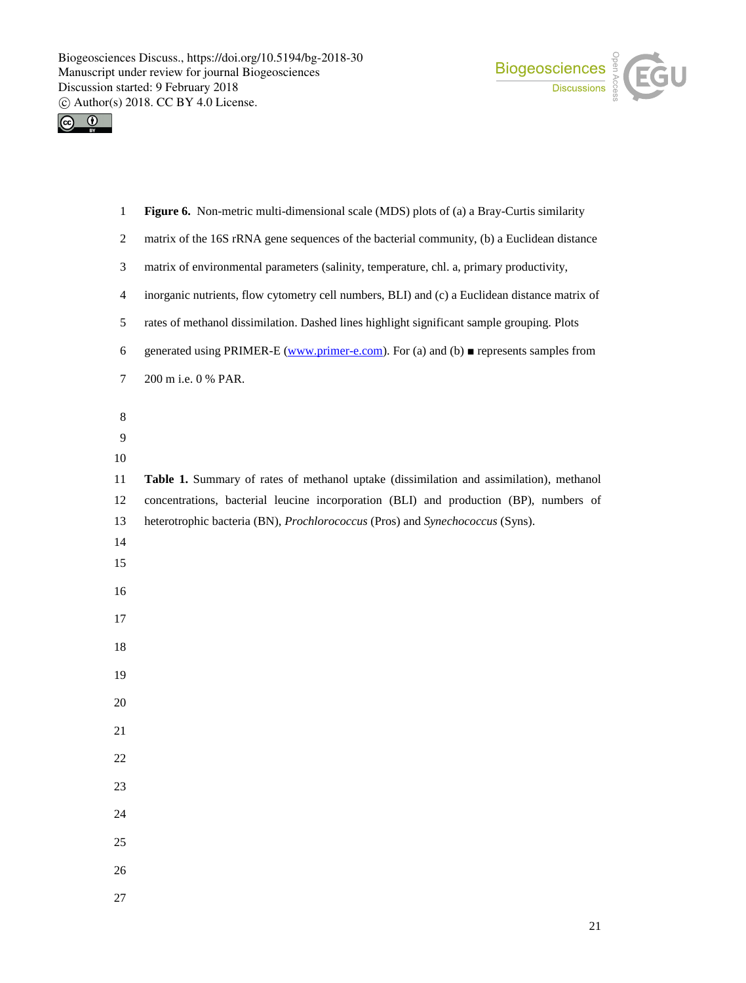



| $\mathbf{1}$   | Figure 6. Non-metric multi-dimensional scale (MDS) plots of (a) a Bray-Curtis similarity            |
|----------------|-----------------------------------------------------------------------------------------------------|
| $\overline{c}$ | matrix of the 16S rRNA gene sequences of the bacterial community, (b) a Euclidean distance          |
| 3              | matrix of environmental parameters (salinity, temperature, chl. a, primary productivity,            |
| 4              | inorganic nutrients, flow cytometry cell numbers, BLI) and (c) a Euclidean distance matrix of       |
| 5              | rates of methanol dissimilation. Dashed lines highlight significant sample grouping. Plots          |
| 6              | generated using PRIMER-E (www.primer-e.com). For (a) and (b) $\blacksquare$ represents samples from |
| 7              | 200 m i.e. 0 % PAR.                                                                                 |
| 8              |                                                                                                     |
| 9              |                                                                                                     |
| 10             |                                                                                                     |
| 11             | Table 1. Summary of rates of methanol uptake (dissimilation and assimilation), methanol             |
| 12             | concentrations, bacterial leucine incorporation (BLI) and production (BP), numbers of               |
| 13             | heterotrophic bacteria (BN), Prochlorococcus (Pros) and Synechococcus (Syns).                       |
| 14             |                                                                                                     |
| 15             |                                                                                                     |
| 16             |                                                                                                     |
| 17             |                                                                                                     |
| 18             |                                                                                                     |
| 19             |                                                                                                     |
| 20             |                                                                                                     |
| 21             |                                                                                                     |
| 22             |                                                                                                     |
| 23             |                                                                                                     |
| 24             |                                                                                                     |
| 25             |                                                                                                     |
| 26             |                                                                                                     |
| 27             |                                                                                                     |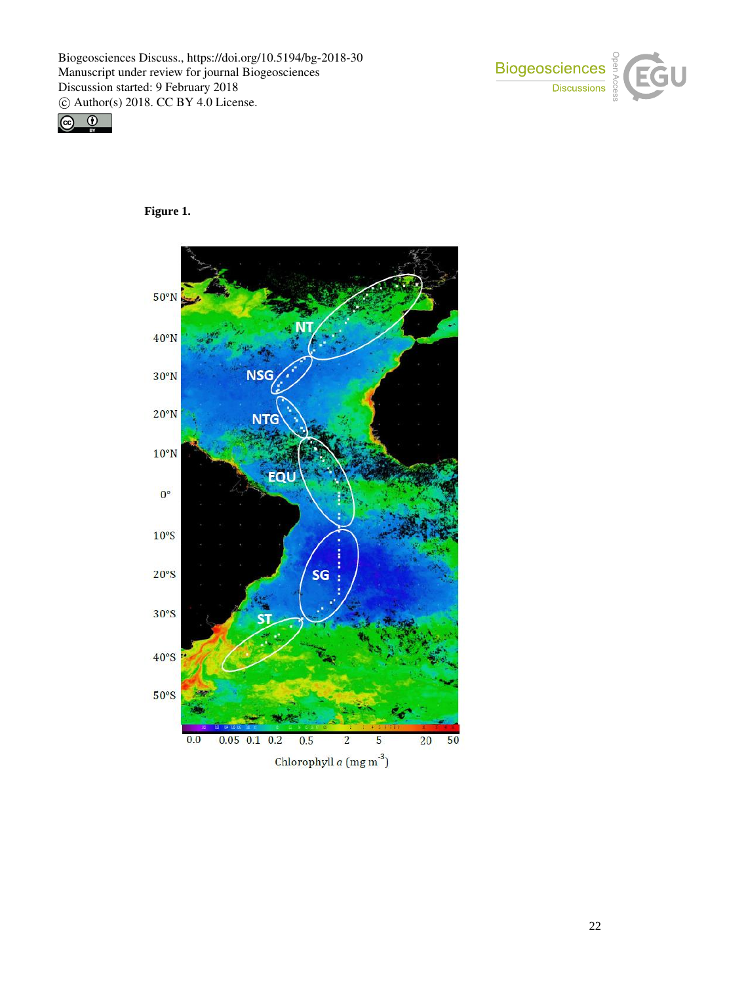





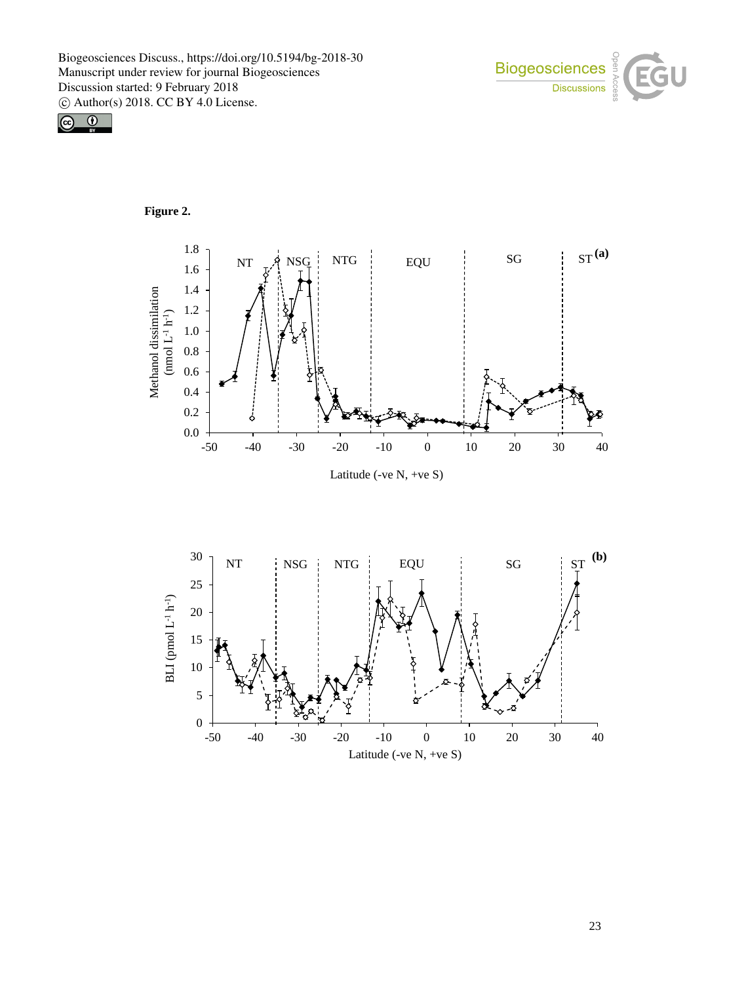



# **Figure 2.**



Latitude (-ve N, +ve S)

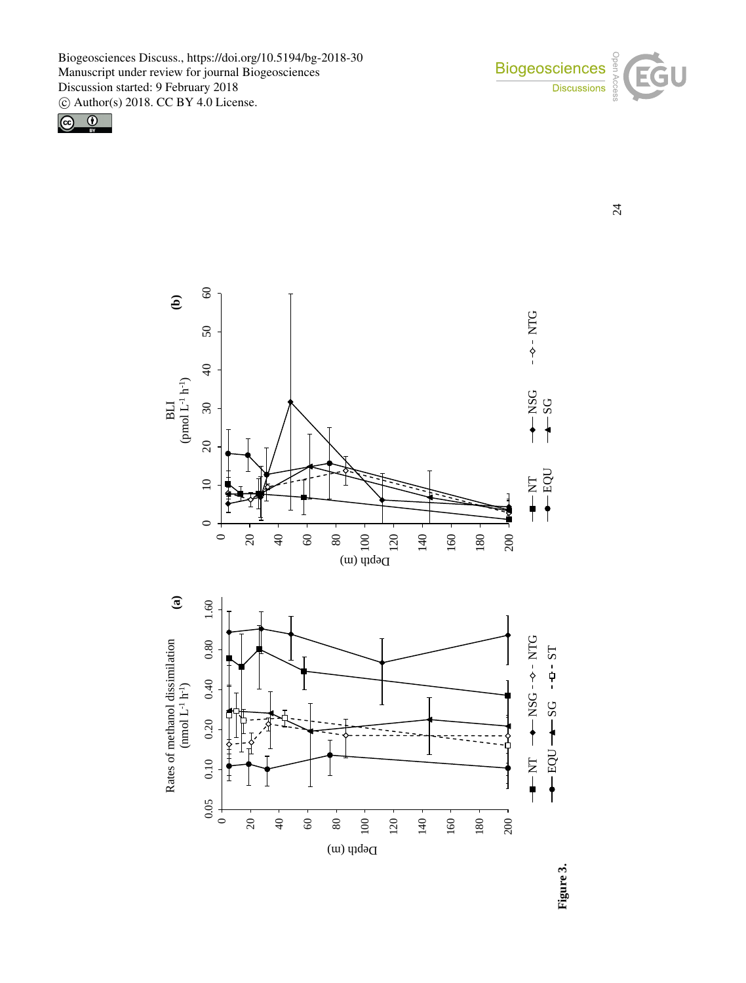

24





**Figure 3.**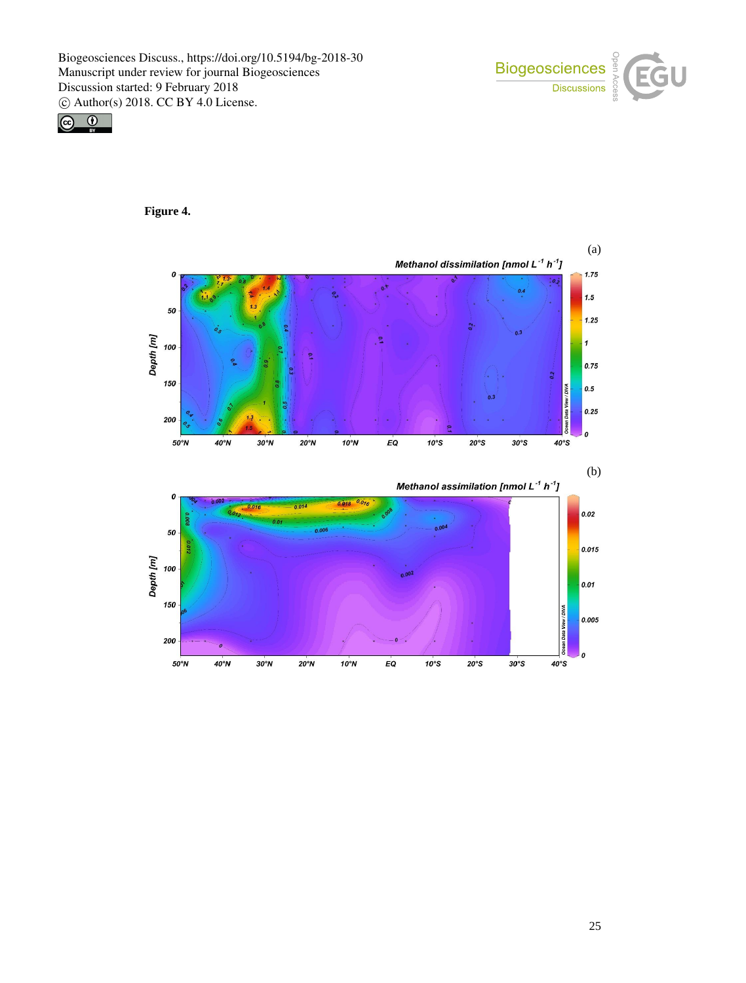



**Figure 4.** 

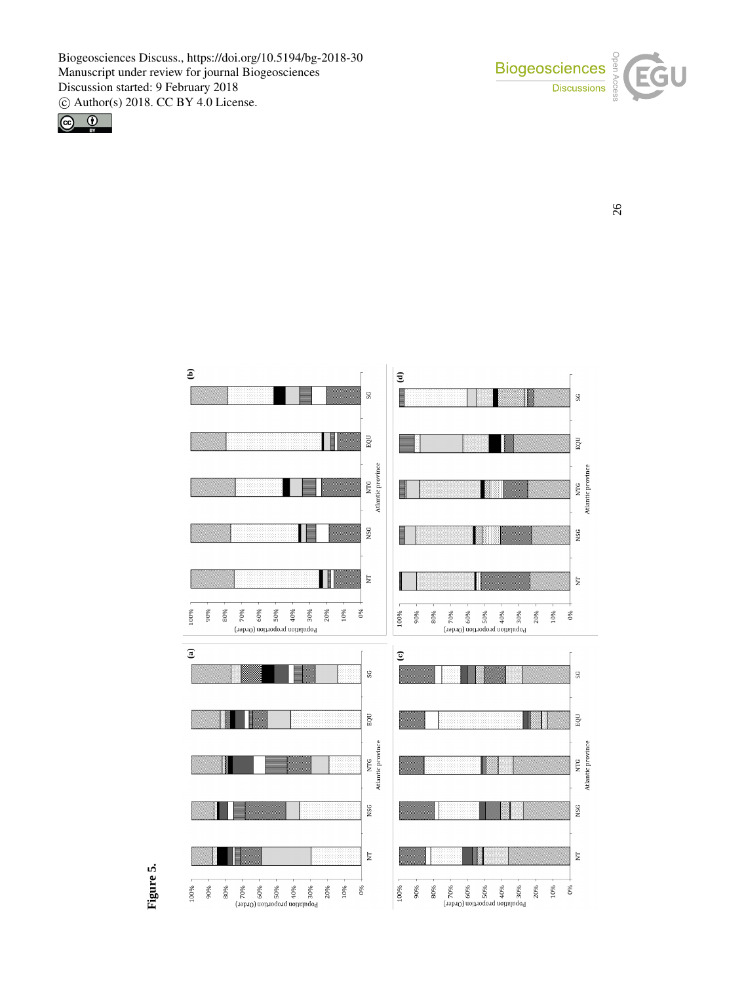





**Figure 5.**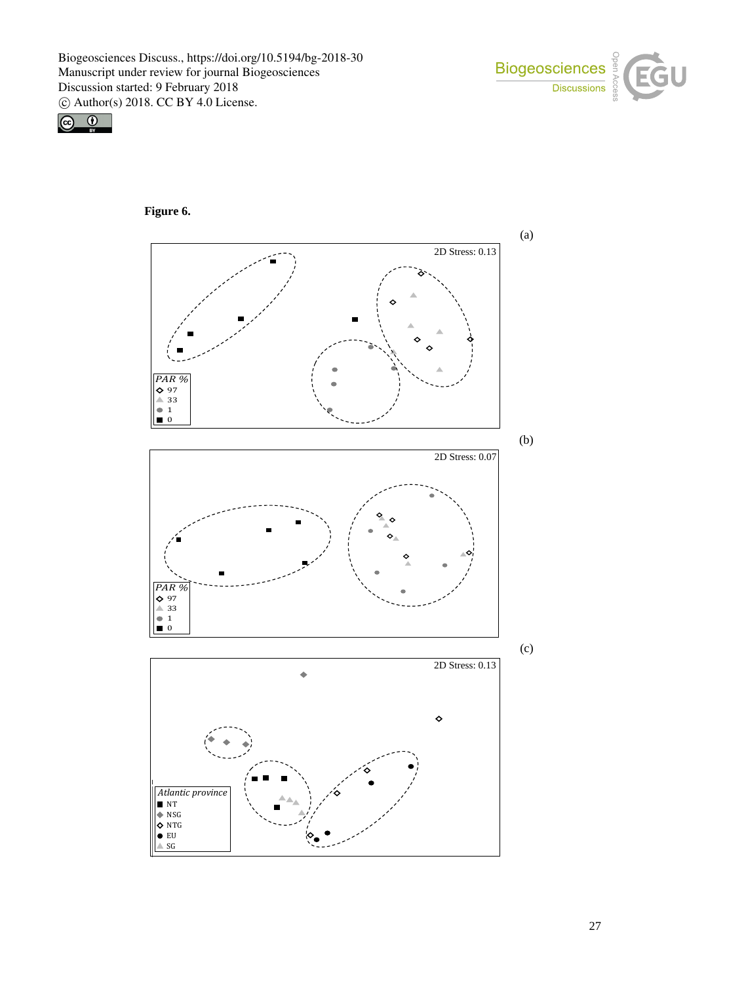